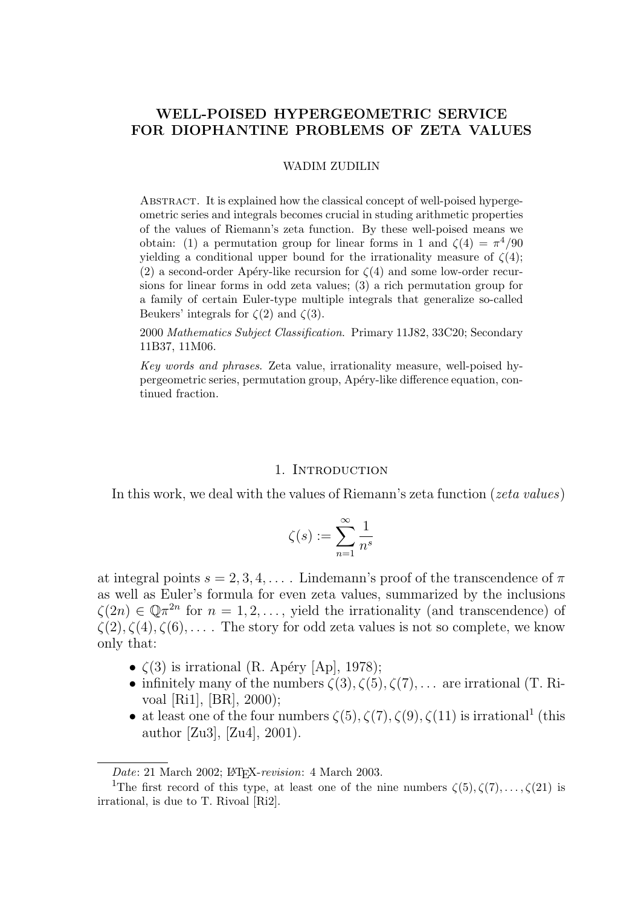# WELL-POISED HYPERGEOMETRIC SERVICE FOR DIOPHANTINE PROBLEMS OF ZETA VALUES

#### WADIM ZUDILIN

ABSTRACT. It is explained how the classical concept of well-poised hypergeometric series and integrals becomes crucial in studing arithmetic properties of the values of Riemann's zeta function. By these well-poised means we obtain: (1) a permutation group for linear forms in 1 and  $\zeta(4) = \pi^4/90$ yielding a conditional upper bound for the irrationality measure of  $\zeta(4)$ ; (2) a second-order Apéry-like recursion for  $\zeta(4)$  and some low-order recursions for linear forms in odd zeta values; (3) a rich permutation group for a family of certain Euler-type multiple integrals that generalize so-called Beukers' integrals for  $\zeta(2)$  and  $\zeta(3)$ .

2000 Mathematics Subject Classification. Primary 11J82, 33C20; Secondary 11B37, 11M06.

Key words and phrases. Zeta value, irrationality measure, well-poised hypergeometric series, permutation group, Ap´ery-like difference equation, continued fraction.

### 1. INTRODUCTION

In this work, we deal with the values of Riemann's zeta function (*zeta values*)

$$
\zeta(s) := \sum_{n=1}^{\infty} \frac{1}{n^s}
$$

at integral points  $s = 2, 3, 4, \ldots$ . Lindemann's proof of the transcendence of  $\pi$ as well as Euler's formula for even zeta values, summarized by the inclusions  $\zeta(2n) \in \mathbb{Q} \pi^{2n}$  for  $n = 1, 2, \ldots$ , yield the irrationality (and transcendence) of  $\zeta(2), \zeta(4), \zeta(6), \ldots$ . The story for odd zeta values is not so complete, we know only that:

- $\zeta(3)$  is irrational (R. Apéry [Ap], 1978);
- infinitely many of the numbers  $\zeta(3), \zeta(5), \zeta(7), \ldots$  are irrational (T. Rivoal [Ri1], [BR], 2000);
- at least one of the four numbers  $\zeta(5), \zeta(7), \zeta(9), \zeta(11)$  is irrational<sup>1</sup> (this author [Zu3], [Zu4], 2001).

Date: 21 March 2002; LATFX-revision: 4 March 2003.

<sup>&</sup>lt;sup>1</sup>The first record of this type, at least one of the nine numbers  $\zeta(5), \zeta(7), \ldots, \zeta(21)$  is irrational, is due to T. Rivoal [Ri2].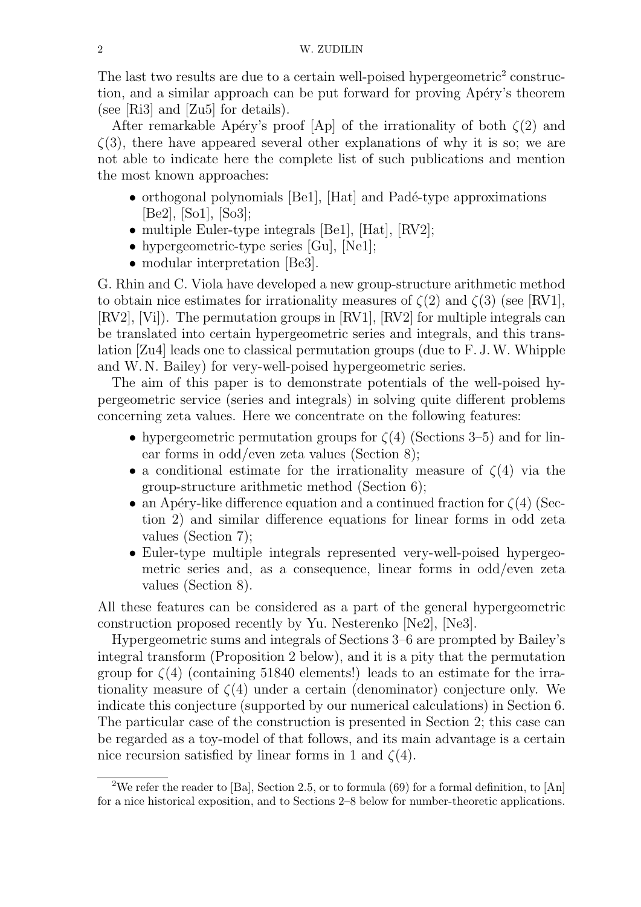The last two results are due to a certain well-poised hypergeometric<sup>2</sup> construction, and a similar approach can be put forward for proving Apéry's theorem (see [Ri3] and [Zu5] for details).

After remarkable Apéry's proof [Ap] of the irrationality of both  $\zeta(2)$  and  $\zeta(3)$ , there have appeared several other explanations of why it is so; we are not able to indicate here the complete list of such publications and mention the most known approaches:

- $\bullet$  orthogonal polynomials [Be1], [Hat] and Padé-type approximations [Be2], [So1], [So3];
- multiple Euler-type integrals [Be1], [Hat], [RV2];
- hypergeometric-type series [Gu], [Ne1];
- modular interpretation [Be3].

G. Rhin and C. Viola have developed a new group-structure arithmetic method to obtain nice estimates for irrationality measures of  $\zeta(2)$  and  $\zeta(3)$  (see [RV1], [RV2], [Vi]). The permutation groups in [RV1], [RV2] for multiple integrals can be translated into certain hypergeometric series and integrals, and this translation [Zu4] leads one to classical permutation groups (due to F. J.W. Whipple and W. N. Bailey) for very-well-poised hypergeometric series.

The aim of this paper is to demonstrate potentials of the well-poised hypergeometric service (series and integrals) in solving quite different problems concerning zeta values. Here we concentrate on the following features:

- hypergeometric permutation groups for  $\zeta(4)$  (Sections 3–5) and for linear forms in odd/even zeta values (Section 8);
- a conditional estimate for the irrationality measure of  $\zeta(4)$  via the group-structure arithmetic method (Section 6);
- an Apéry-like difference equation and a continued fraction for  $\zeta(4)$  (Section 2) and similar difference equations for linear forms in odd zeta values (Section 7);
- Euler-type multiple integrals represented very-well-poised hypergeometric series and, as a consequence, linear forms in odd/even zeta values (Section 8).

All these features can be considered as a part of the general hypergeometric construction proposed recently by Yu. Nesterenko [Ne2], [Ne3].

Hypergeometric sums and integrals of Sections 3–6 are prompted by Bailey's integral transform (Proposition 2 below), and it is a pity that the permutation group for  $\zeta(4)$  (containing 51840 elements!) leads to an estimate for the irrationality measure of  $\zeta(4)$  under a certain (denominator) conjecture only. We indicate this conjecture (supported by our numerical calculations) in Section 6. The particular case of the construction is presented in Section 2; this case can be regarded as a toy-model of that follows, and its main advantage is a certain nice recursion satisfied by linear forms in 1 and  $\zeta(4)$ .

<sup>&</sup>lt;sup>2</sup>We refer the reader to [Ba], Section 2.5, or to formula (69) for a formal definition, to [An] for a nice historical exposition, and to Sections 2–8 below for number-theoretic applications.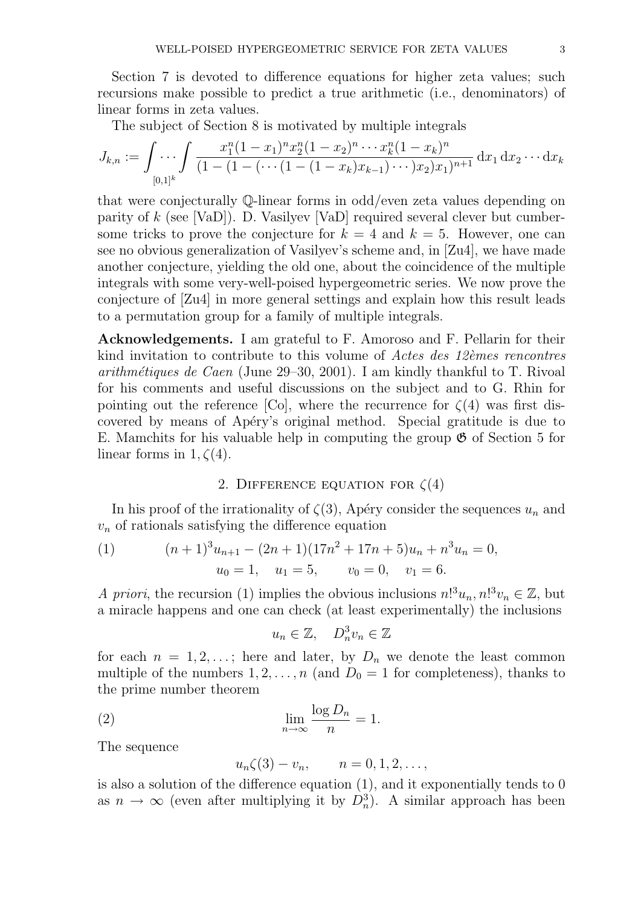Section 7 is devoted to difference equations for higher zeta values; such recursions make possible to predict a true arithmetic (i.e., denominators) of linear forms in zeta values.

The subject of Section 8 is motivated by multiple integrals

$$
J_{k,n} := \int \ldots \int \frac{x_1^n (1-x_1)^n x_2^n (1-x_2)^n \cdots x_k^n (1-x_k)^n}{(1 - (1 - (\cdots (1 - (1-x_k)x_{k-1}) \cdots)x_2)x_1)^{n+1}} dx_1 dx_2 \cdots dx_k
$$

that were conjecturally Q-linear forms in odd/even zeta values depending on parity of  $k$  (see [VaD]). D. Vasilyev [VaD] required several clever but cumbersome tricks to prove the conjecture for  $k = 4$  and  $k = 5$ . However, one can see no obvious generalization of Vasilyev's scheme and, in [Zu4], we have made another conjecture, yielding the old one, about the coincidence of the multiple integrals with some very-well-poised hypergeometric series. We now prove the conjecture of [Zu4] in more general settings and explain how this result leads to a permutation group for a family of multiple integrals.

Acknowledgements. I am grateful to F. Amoroso and F. Pellarin for their kind invitation to contribute to this volume of *Actes des 12<sup>èmes</sup> rencontres* arithmétiques de Caen (June 29–30, 2001). I am kindly thankful to T. Rivoal for his comments and useful discussions on the subject and to G. Rhin for pointing out the reference [Co], where the recurrence for  $\zeta(4)$  was first discovered by means of Apéry's original method. Special gratitude is due to E. Mamchits for his valuable help in computing the group  $\mathfrak{G}$  of Section 5 for linear forms in  $1, \zeta(4)$ .

## 2. DIFFERENCE EQUATION FOR  $\zeta(4)$

In his proof of the irrationality of  $\zeta(3)$ , Apéry consider the sequences  $u_n$  and  $v_n$  of rationals satisfying the difference equation

(1) 
$$
(n+1)^{3}u_{n+1} - (2n+1)(17n^{2} + 17n + 5)u_{n} + n^{3}u_{n} = 0,
$$

$$
u_{0} = 1, u_{1} = 5, v_{0} = 0, v_{1} = 6.
$$

A priori, the recursion (1) implies the obvious inclusions  $n!^3u_n, n!^3v_n \in \mathbb{Z}$ , but a miracle happens and one can check (at least experimentally) the inclusions

$$
u_n \in \mathbb{Z}, \quad D_n^3 v_n \in \mathbb{Z}
$$

for each  $n = 1, 2, \ldots$ ; here and later, by  $D_n$  we denote the least common multiple of the numbers  $1, 2, ..., n$  (and  $D_0 = 1$  for completeness), thanks to the prime number theorem

(2) 
$$
\lim_{n \to \infty} \frac{\log D_n}{n} = 1.
$$

The sequence

$$
u_n \zeta(3) - v_n, \qquad n = 0, 1, 2, \dots,
$$

is also a solution of the difference equation (1), and it exponentially tends to 0 as  $n \to \infty$  (even after multiplying it by  $D_n^3$ ). A similar approach has been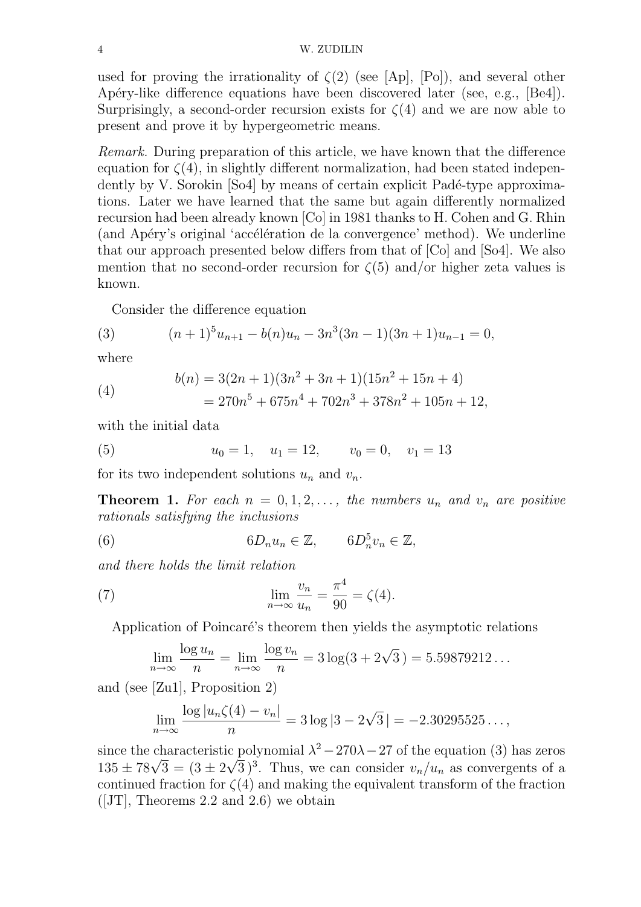used for proving the irrationality of  $\zeta(2)$  (see [Ap], [Po]), and several other Apéry-like difference equations have been discovered later (see, e.g., [Be4]). Surprisingly, a second-order recursion exists for  $\zeta(4)$  and we are now able to present and prove it by hypergeometric means.

Remark. During preparation of this article, we have known that the difference equation for  $\zeta(4)$ , in slightly different normalization, had been stated independently by V. Sorokin [So4] by means of certain explicit Padé-type approximations. Later we have learned that the same but again differently normalized recursion had been already known [Co] in 1981 thanks to H. Cohen and G. Rhin (and Apéry's original 'accélération de la convergence' method). We underline that our approach presented below differs from that of [Co] and [So4]. We also mention that no second-order recursion for  $\zeta(5)$  and/or higher zeta values is known.

Consider the difference equation

(3) 
$$
(n+1)^5 u_{n+1} - b(n)u_n - 3n^3(3n-1)(3n+1)u_{n-1} = 0,
$$

where

(4) 
$$
b(n) = 3(2n+1)(3n^2+3n+1)(15n^2+15n+4) = 270n^5 + 675n^4 + 702n^3 + 378n^2 + 105n + 12,
$$

with the initial data

(5) 
$$
u_0 = 1
$$
,  $u_1 = 12$ ,  $v_0 = 0$ ,  $v_1 = 13$ 

for its two independent solutions  $u_n$  and  $v_n$ .

**Theorem 1.** For each  $n = 0, 1, 2, \ldots$ , the numbers  $u_n$  and  $v_n$  are positive rationals satisfying the inclusions

(6) 6D<sub>n</sub>u<sub>n</sub>  $\in \mathbb{Z}$ , 6D<sub>n</sub><sup>5</sup></sup>  $\frac{5}{n}v_n \in \mathbb{Z},$ 

and there holds the limit relation

(7) 
$$
\lim_{n \to \infty} \frac{v_n}{u_n} = \frac{\pi^4}{90} = \zeta(4).
$$

Application of Poincaré's theorem then yields the asymptotic relations

$$
\lim_{n \to \infty} \frac{\log u_n}{n} = \lim_{n \to \infty} \frac{\log v_n}{n} = 3\log(3 + 2\sqrt{3}) = 5.59879212...
$$

and (see [Zu1], Proposition 2)

$$
\lim_{n \to \infty} \frac{\log |u_n \zeta(4) - v_n|}{n} = 3 \log |3 - 2\sqrt{3}| = -2.30295525...,
$$

since the characteristic polynomial  $\lambda^2 - 270\lambda - 27$  of the equation (3) has zeros since the characteristic<br> $135 \pm 78\sqrt{3} = (3 \pm 2)$  $^{\mathrm{IC}}$  ,  $\overline{3}$ )<sup>3</sup>. Thus, we can consider  $v_n/u_n$  as convergents of a continued fraction for  $\zeta(4)$  and making the equivalent transform of the fraction  $([JT],$  Theorems 2.2 and 2.6) we obtain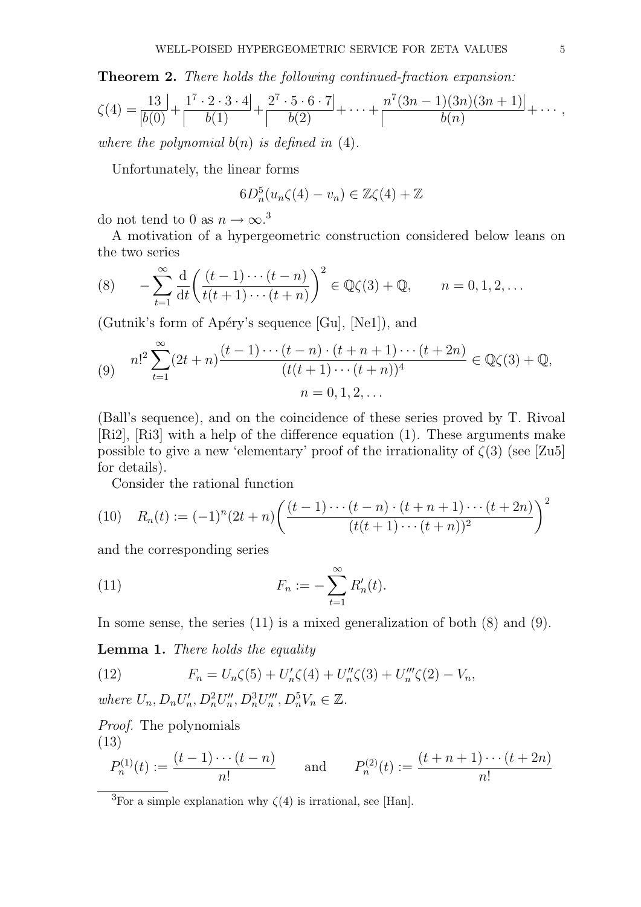Theorem 2. There holds the following continued-fraction expansion:

$$
\zeta(4) = \frac{13}{|b(0)} + \frac{1^7 \cdot 2 \cdot 3 \cdot 4}{|b(1)} + \frac{2^7 \cdot 5 \cdot 6 \cdot 7}{|b(2)} + \dots + \frac{n^7(3n-1)(3n)(3n+1)}{b(n)} + \dots,
$$

where the polynomial  $b(n)$  is defined in (4).

Unfortunately, the linear forms

$$
6D_n^5(u_n\zeta(4)-v_n)\in\mathbb{Z}\zeta(4)+\mathbb{Z}
$$

do not tend to 0 as  $n \to \infty$ .<sup>3</sup>

A motivation of a hypergeometric construction considered below leans on the two series

(8) 
$$
-\sum_{t=1}^{\infty} \frac{d}{dt} \left( \frac{(t-1)\cdots(t-n)}{t(t+1)\cdots(t+n)} \right)^2 \in \mathbb{Q}\zeta(3) + \mathbb{Q}, \qquad n = 0, 1, 2, \dots
$$

(Gutnik's form of Apéry's sequence  $[G_{u}]$ ,  $[N_{e1}]$ ), and

(9) 
$$
n!^{2} \sum_{t=1}^{\infty} (2t+n) \frac{(t-1)\cdots(t-n) \cdot (t+n+1)\cdots(t+2n)}{(t(t+1)\cdots(t+n))^{4}} \in \mathbb{Q}\zeta(3) + \mathbb{Q},
$$

$$
n = 0, 1, 2, \dots
$$

(Ball's sequence), and on the coincidence of these series proved by T. Rivoal [Ri2], [Ri3] with a help of the difference equation (1). These arguments make possible to give a new 'elementary' proof of the irrationality of  $\zeta(3)$  (see [Zu5] for details).

Consider the rational function

(10) 
$$
R_n(t) := (-1)^n (2t+n) \left( \frac{(t-1)\cdots(t-n) \cdot (t+n+1) \cdots (t+2n)}{(t(t+1)\cdots(t+n))^2} \right)^2
$$

and the corresponding series

(11) 
$$
F_n := -\sum_{t=1}^{\infty} R'_n(t).
$$

In some sense, the series (11) is a mixed generalization of both (8) and (9).

Lemma 1. There holds the equality

(12) 
$$
F_n = U_n \zeta(5) + U'_n \zeta(4) + U''_n \zeta(3) + U''_n \zeta(2) - V_n,
$$

where  $U_n, D_n U'_n$  $I'_n, D_n^2 U''_n$  $\binom{n}{n}, D_n^3 U_n^{\prime\prime\prime}$  $U_n^{\prime\prime\prime}, D_n^5V_n \in \mathbb{Z}$ .

Proof. The polynomials

$$
(13)
$$

$$
P_n^{(1)}(t) := \frac{(t-1)\cdots(t-n)}{n!} \quad \text{and} \quad P_n^{(2)}(t) := \frac{(t+n+1)\cdots(t+2n)}{n!}
$$

 $\overline{^{3}$  For a simple explanation why  $\zeta(4)$  is irrational, see [Han].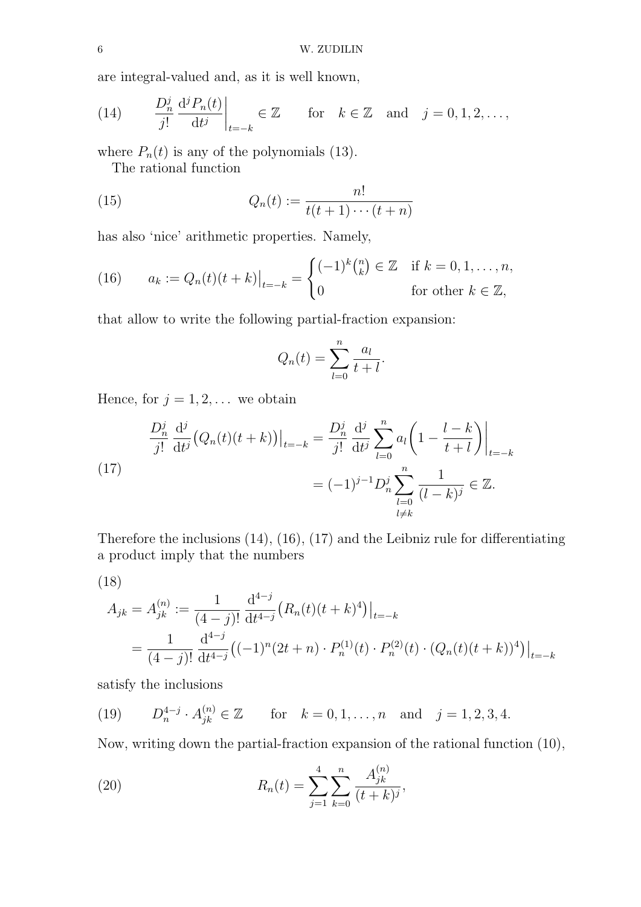are integral-valued and, as it is well known,

(14) 
$$
\frac{D_n^j}{j!} \frac{d^j P_n(t)}{dt^j}\bigg|_{t=-k} \in \mathbb{Z} \quad \text{for} \quad k \in \mathbb{Z} \quad \text{and} \quad j = 0, 1, 2, \dots,
$$

where  $P_n(t)$  is any of the polynomials (13).

The rational function

(15) 
$$
Q_n(t) := \frac{n!}{t(t+1)\cdots(t+n)}
$$

has also 'nice' arithmetic properties. Namely,

(16) 
$$
a_k := Q_n(t)(t+k)|_{t=-k} = \begin{cases} (-1)^k {n \choose k} \in \mathbb{Z} & \text{if } k=0,1,\ldots,n, \\ 0 & \text{for other } k \in \mathbb{Z}, \end{cases}
$$

that allow to write the following partial-fraction expansion:

$$
Q_n(t) = \sum_{l=0}^n \frac{a_l}{t+l}.
$$

Hence, for  $j = 1, 2, \dots$  we obtain

(17) 
$$
\frac{D_n^j}{j!} \frac{d^j}{dt^j} (Q_n(t)(t+k)) \Big|_{t=-k} = \frac{D_n^j}{j!} \frac{d^j}{dt^j} \sum_{l=0}^n a_l \left( 1 - \frac{l-k}{t+l} \right) \Big|_{t=-k}
$$

$$
= (-1)^{j-1} D_n^j \sum_{\substack{l=0 \ l \neq k}}^n \frac{1}{(l-k)^j} \in \mathbb{Z}.
$$

Therefore the inclusions (14), (16), (17) and the Leibniz rule for differentiating a product imply that the numbers

$$
(18)
$$

$$
A_{jk} = A_{jk}^{(n)} := \frac{1}{(4-j)!} \frac{d^{4-j}}{dt^{4-j}} (R_n(t)(t+k)^4)|_{t=-k}
$$
  
= 
$$
\frac{1}{(4-j)!} \frac{d^{4-j}}{dt^{4-j}} ((-1)^n (2t+n) \cdot P_n^{(1)}(t) \cdot P_n^{(2)}(t) \cdot (Q_n(t)(t+k))^4)|_{t=-k}
$$

satisfy the inclusions

(19) 
$$
D_n^{4-j} \cdot A_{jk}^{(n)} \in \mathbb{Z}
$$
 for  $k = 0, 1, ..., n$  and  $j = 1, 2, 3, 4$ .

Now, writing down the partial-fraction expansion of the rational function (10),

(20) 
$$
R_n(t) = \sum_{j=1}^4 \sum_{k=0}^n \frac{A_{jk}^{(n)}}{(t+k)^j},
$$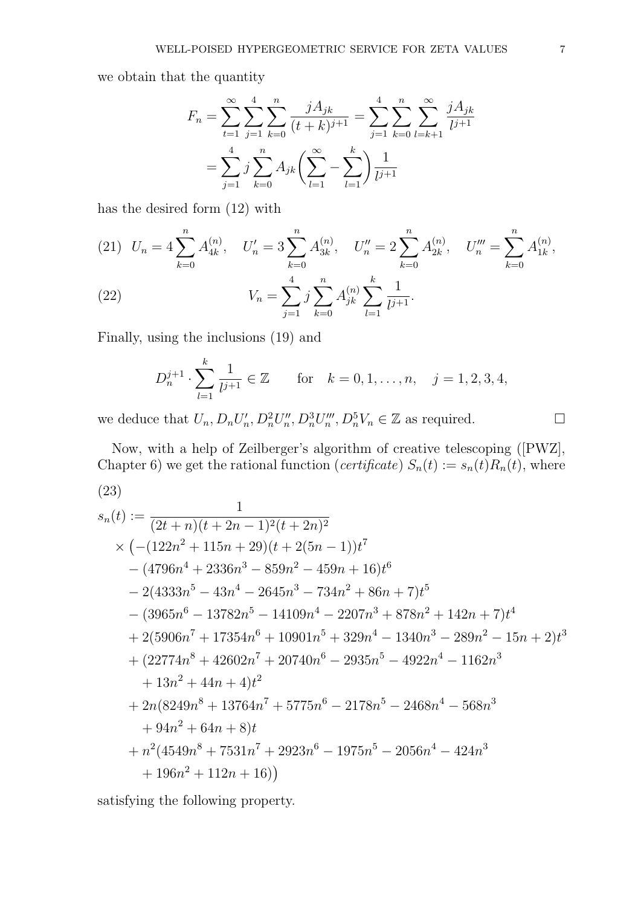we obtain that the quantity

$$
F_n = \sum_{t=1}^{\infty} \sum_{j=1}^{4} \sum_{k=0}^{n} \frac{jA_{jk}}{(t+k)^{j+1}} = \sum_{j=1}^{4} \sum_{k=0}^{n} \sum_{l=k+1}^{\infty} \frac{jA_{jk}}{l^{j+1}}
$$

$$
= \sum_{j=1}^{4} j \sum_{k=0}^{n} A_{jk} \left( \sum_{l=1}^{\infty} - \sum_{l=1}^{k} \right) \frac{1}{l^{j+1}}
$$

has the desired form (12) with

(21) 
$$
U_n = 4 \sum_{k=0}^n A_{4k}^{(n)}, \quad U'_n = 3 \sum_{k=0}^n A_{3k}^{(n)}, \quad U''_n = 2 \sum_{k=0}^n A_{2k}^{(n)}, \quad U'''_n = \sum_{k=0}^n A_{1k}^{(n)},
$$
  
(22) 
$$
V_n = \sum_{j=1}^4 j \sum_{k=0}^n A_{jk}^{(n)} \sum_{l=1}^k \frac{1}{l^{j+1}}.
$$

Finally, using the inclusions (19) and

$$
D_n^{j+1} \cdot \sum_{l=1}^k \frac{1}{l^{j+1}} \in \mathbb{Z} \qquad \text{for} \quad k = 0, 1, \dots, n, \quad j = 1, 2, 3, 4,
$$

we deduce that  $U_n, D_n U'_n$  $I'_n, D_n^2 U''_n$  $T''_n, D_n^3 U'''_n$  $Z_n^m$ ,  $D_n^5 V_n \in \mathbb{Z}$  as required.

Now, with a help of Zeilberger's algorithm of creative telescoping ([PWZ], Chapter 6) we get the rational function (*certificate*)  $S_n(t) := s_n(t)R_n(t)$ , where (23)

$$
s_n(t) := \frac{1}{(2t+n)(t+2n-1)^2(t+2n)^2}
$$
  
\n
$$
\times \left(-(122n^2+115n+29)(t+2(5n-1))t^7 - (4796n^4+2336n^3-859n^2-459n+16)t^6 - 2(4333n^5-43n^4-2645n^3-734n^2+86n+7)t^5 - (3965n^6-13782n^5-14109n^4-2207n^3+878n^2+142n+7)t^4 + 2(5906n^7+17354n^6+10901n^5+329n^4-1340n^3-289n^2-15n+2)t^3 + (22774n^8+42602n^7+20740n^6-2935n^5-4922n^4-1162n^3 + 13n^2+44n+4)t^2 + 2n(8249n^8+13764n^7+5775n^6-2178n^5-2468n^4-568n^3 + 94n^2+64n+8)t + n^2(4549n^8+7531n^7+2923n^6-1975n^5-2056n^4-424n^3 + 196n^2+112n+16)\right)
$$

satisfying the following property.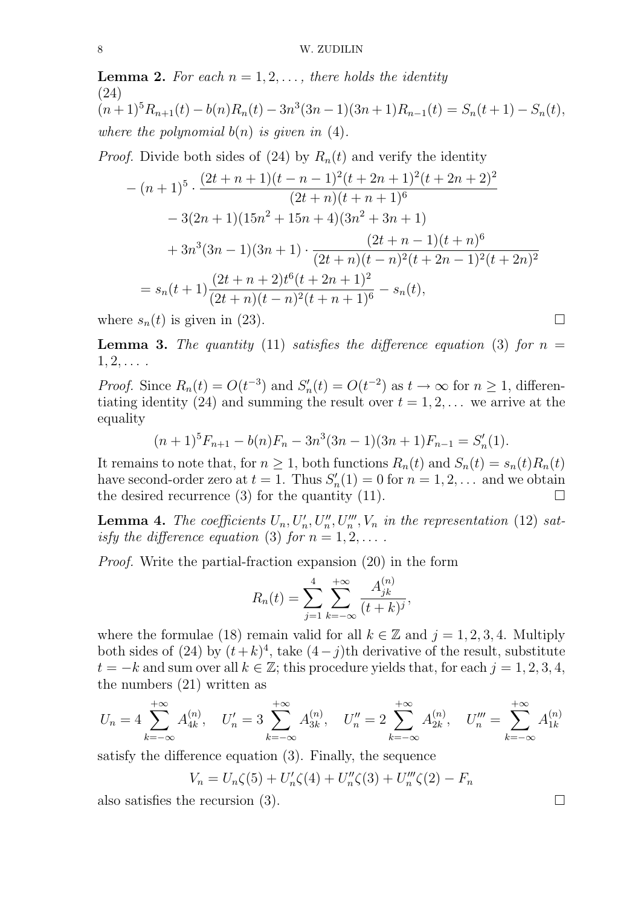**Lemma 2.** For each  $n = 1, 2, \ldots$ , there holds the identity (24)  $(n+1)^5 R_{n+1}(t) - b(n)R_n(t) - 3n^3(3n-1)(3n+1)R_{n-1}(t) = S_n(t+1) - S_n(t),$ where the polynomial  $b(n)$  is given in (4).

*Proof.* Divide both sides of (24) by  $R_n(t)$  and verify the identity

$$
-(n+1)^5 \cdot \frac{(2t+n+1)(t-n-1)^2(t+2n+1)^2(t+2n+2)^2}{(2t+n)(t+n+1)^6}
$$
  

$$
-3(2n+1)(15n^2+15n+4)(3n^2+3n+1)
$$
  

$$
+3n^3(3n-1)(3n+1) \cdot \frac{(2t+n-1)(t+n)^6}{(2t+n)(t-n)^2(t+2n-1)^2(t+2n)^2}
$$
  

$$
=s_n(t+1)\frac{(2t+n+2)t^6(t+2n+1)^2}{(2t+n)(t-n)^2(t+n+1)^6}-s_n(t),
$$

where  $s_n(t)$  is given in (23).

**Lemma 3.** The quantity (11) satisfies the difference equation (3) for  $n =$  $1, 2, \ldots$ .

*Proof.* Since  $R_n(t) = O(t^{-3})$  and  $S'_n$  $n'(t) = O(t^{-2})$  as  $t \to \infty$  for  $n \ge 1$ , differentiating identity (24) and summing the result over  $t = 1, 2, \ldots$  we arrive at the equality

$$
(n+1)^5 F_{n+1} - b(n)F_n - 3n^3(3n-1)(3n+1)F_{n-1} = S'_n(1).
$$

It remains to note that, for  $n \geq 1$ , both functions  $R_n(t)$  and  $S_n(t) = s_n(t)R_n(t)$ have second-order zero at  $t = 1$ . Thus  $S'_r$  $n'_n(1) = 0$  for  $n = 1, 2, \ldots$  and we obtain the desired recurrence (3) for the quantity (11).  $\Box$ 

**Lemma 4.** The coefficients  $U_n, U'_n, U''_n, U''_n, V_n$  in the representation (12) satisfy the difference equation (3) for  $n = 1, 2, \ldots$ .

Proof. Write the partial-fraction expansion (20) in the form

$$
R_n(t) = \sum_{j=1}^4 \sum_{k=-\infty}^{+\infty} \frac{A_{jk}^{(n)}}{(t+k)^j},
$$

where the formulae (18) remain valid for all  $k \in \mathbb{Z}$  and  $j = 1, 2, 3, 4$ . Multiply both sides of (24) by  $(t+k)^4$ , take  $(4-j)$ th derivative of the result, substitute  $t = -k$  and sum over all  $k \in \mathbb{Z}$ ; this procedure yields that, for each  $j = 1, 2, 3, 4$ , the numbers (21) written as

$$
U_n = 4 \sum_{k=-\infty}^{+\infty} A_{4k}^{(n)}, \quad U'_n = 3 \sum_{k=-\infty}^{+\infty} A_{3k}^{(n)}, \quad U''_n = 2 \sum_{k=-\infty}^{+\infty} A_{2k}^{(n)}, \quad U'''_n = \sum_{k=-\infty}^{+\infty} A_{1k}^{(n)}
$$

satisfy the difference equation (3). Finally, the sequence

$$
V_n = U_n \zeta(5) + U'_n \zeta(4) + U''_n \zeta(3) + U''_n \zeta(2) - F_n
$$

also satisfies the recursion (3).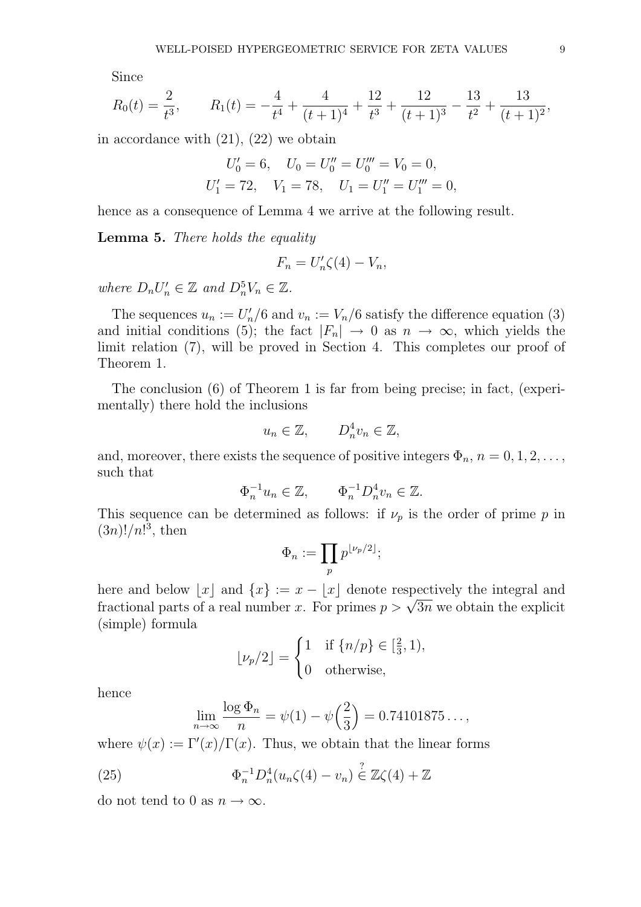Since

$$
R_0(t) = \frac{2}{t^3}, \qquad R_1(t) = -\frac{4}{t^4} + \frac{4}{(t+1)^4} + \frac{12}{t^3} + \frac{12}{(t+1)^3} - \frac{13}{t^2} + \frac{13}{(t+1)^2},
$$

in accordance with (21), (22) we obtain

$$
U'_0 = 6, \quad U_0 = U''_0 = U'''_0 = V_0 = 0,
$$
  

$$
U'_1 = 72, \quad V_1 = 78, \quad U_1 = U''_1 = U'''_1 = 0,
$$

hence as a consequence of Lemma 4 we arrive at the following result.

Lemma 5. There holds the equality

$$
F_n = U'_n \zeta(4) - V_n,
$$

where  $D_n U'_n \in \mathbb{Z}$  and  $D_n^5 V_n \in \mathbb{Z}$ .

The sequences  $u_n := U'_n$  $v'_n/6$  and  $v_n := V_n/6$  satisfy the difference equation (3) and initial conditions (5); the fact  $|F_n| \to 0$  as  $n \to \infty$ , which yields the limit relation (7), will be proved in Section 4. This completes our proof of Theorem 1.

The conclusion (6) of Theorem 1 is far from being precise; in fact, (experimentally) there hold the inclusions

$$
u_n \in \mathbb{Z}, \qquad D_n^4 v_n \in \mathbb{Z},
$$

and, moreover, there exists the sequence of positive integers  $\Phi_n$ ,  $n = 0, 1, 2, \ldots$ , such that

$$
\Phi_n^{-1}u_n \in \mathbb{Z}, \qquad \Phi_n^{-1}D_n^4v_n \in \mathbb{Z}.
$$

This sequence can be determined as follows: if  $\nu_p$  is the order of prime p in  $(3n)!/n!^3$ , then

$$
\Phi_n := \prod_p p^{\lfloor \nu_p/2 \rfloor};
$$

here and below  $|x|$  and  $\{x\} := x - |x|$  denote respectively the integral and here and below  $\lfloor x \rfloor$  and  $\{x\} := x - \lfloor x \rfloor$  denote respectively the integral and<br>fractional parts of a real number x. For primes  $p > \sqrt{3n}$  we obtain the explicit (simple) formula

$$
\lfloor \nu_p/2 \rfloor = \begin{cases} 1 & \text{if } \{n/p\} \in \left[\frac{2}{3}, 1\right), \\ 0 & \text{otherwise}, \end{cases}
$$

hence

$$
\lim_{n \to \infty} \frac{\log \Phi_n}{n} = \psi(1) - \psi\left(\frac{2}{3}\right) = 0.74101875...,
$$

where  $\psi(x) := \Gamma'(x)/\Gamma(x)$ . Thus, we obtain that the linear forms

(25) 
$$
\Phi_n^{-1} D_n^4 (u_n \zeta(4) - v_n) \stackrel{?}{\in} \mathbb{Z} \zeta(4) + \mathbb{Z}
$$

do not tend to 0 as  $n \to \infty$ .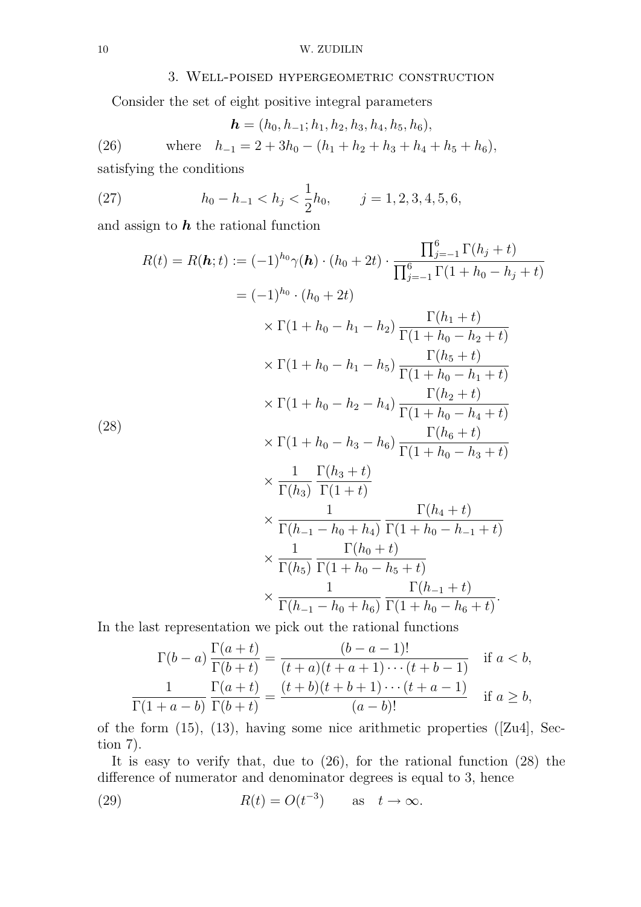#### 10 W. ZUDILIN

### 3. Well-poised hypergeometric construction

Consider the set of eight positive integral parameters

(26) 
$$
\mathbf{h} = (h_0, h_{-1}; h_1, h_2, h_3, h_4, h_5, h_6),
$$
  
(26) where  $h_{-1} = 2 + 3h_0 - (h_1 + h_2 + h_3 + h_4 + h_5 + h_6),$   
satisfying the conditions

(27) 
$$
h_0 - h_{-1} < h_j < \frac{1}{2}h_0, \qquad j = 1, 2, 3, 4, 5, 6,
$$

and assign to  $h$  the rational function

$$
R(t) = R(\boldsymbol{h}; t) := (-1)^{h_0} \gamma(\boldsymbol{h}) \cdot (h_0 + 2t) \cdot \frac{\prod_{j=-1}^{6} \Gamma(h_j + t)}{\prod_{j=-1}^{6} \Gamma(1 + h_0 - h_j + t)}
$$
  
\n
$$
= (-1)^{h_0} \cdot (h_0 + 2t)
$$
  
\n
$$
\times \Gamma(1 + h_0 - h_1 - h_2) \frac{\Gamma(h_1 + t)}{\Gamma(1 + h_0 - h_2 + t)}
$$
  
\n
$$
\times \Gamma(1 + h_0 - h_1 - h_5) \frac{\Gamma(h_5 + t)}{\Gamma(1 + h_0 - h_1 + t)}
$$
  
\n
$$
\times \Gamma(1 + h_0 - h_2 - h_4) \frac{\Gamma(h_2 + t)}{\Gamma(1 + h_0 - h_4 + t)}
$$
  
\n(28)  
\n
$$
\times \Gamma(1 + h_0 - h_3 - h_6) \frac{\Gamma(h_6 + t)}{\Gamma(1 + h_0 - h_3 + t)}
$$
  
\n
$$
\times \frac{1}{\Gamma(h_3)} \frac{\Gamma(h_3 + t)}{\Gamma(1 + t)}
$$
  
\n
$$
\times \frac{1}{\Gamma(h_2 - h_0 + h_4)} \frac{\Gamma(h_4 + t)}{\Gamma(1 + h_0 - h_{-1} + t)}
$$
  
\n
$$
\times \frac{1}{\Gamma(h_5)} \frac{\Gamma(h_0 + t)}{\Gamma(1 + h_0 - h_5 + t)}
$$
  
\n
$$
\times \frac{1}{\Gamma(h_{-1} - h_0 + h_6)} \frac{\Gamma(h_{-1} + t)}{\Gamma(1 + h_0 - h_6 + t)}.
$$

In the last representation we pick out the rational functions

$$
\Gamma(b-a)\frac{\Gamma(a+t)}{\Gamma(b+t)} = \frac{(b-a-1)!}{(t+a)(t+a+1)\cdots(t+b-1)}
$$
if  $a < b$ ,  

$$
\frac{1}{\Gamma(1+a-b)}\frac{\Gamma(a+t)}{\Gamma(b+t)} = \frac{(t+b)(t+b+1)\cdots(t+a-1)}{(a-b)!}
$$
if  $a \ge b$ ,

of the form (15), (13), having some nice arithmetic properties ([Zu4], Section 7).

It is easy to verify that, due to (26), for the rational function (28) the difference of numerator and denominator degrees is equal to 3, hence

(29) 
$$
R(t) = O(t^{-3}) \quad \text{as} \quad t \to \infty.
$$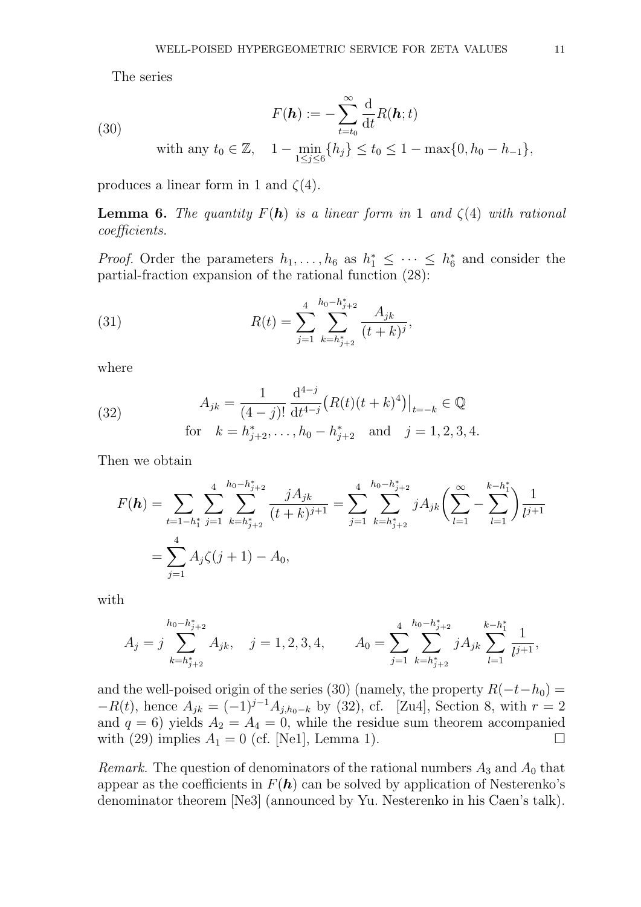The series

(30) 
$$
F(\mathbf{h}) := -\sum_{t=t_0}^{\infty} \frac{d}{dt} R(\mathbf{h}; t)
$$
  
with any  $t_0 \in \mathbb{Z}$ ,  $1 - \min_{1 \le j \le 6} \{h_j\} \le t_0 \le 1 - \max\{0, h_0 - h_{-1}\},$ 

produces a linear form in 1 and  $\zeta(4)$ .

**Lemma 6.** The quantity  $F(h)$  is a linear form in 1 and  $\zeta(4)$  with rational coefficients.

*Proof.* Order the parameters  $h_1, \ldots, h_6$  as  $h_1^* \leq \cdots \leq h_6^*$  $_{6}^{*}$  and consider the partial-fraction expansion of the rational function (28):

(31) 
$$
R(t) = \sum_{j=1}^{4} \sum_{k=h_{j+2}^*}^{h_0 - h_{j+2}^*} \frac{A_{jk}}{(t+k)^j},
$$

where

(32) 
$$
A_{jk} = \frac{1}{(4-j)!} \frac{d^{4-j}}{dt^{4-j}} (R(t)(t+k)^4)|_{t=-k} \in \mathbb{Q}
$$
  
for  $k = h_{j+2}^*, \dots, h_0 - h_{j+2}^*$  and  $j = 1, 2, 3, 4$ .

Then we obtain

$$
F(\boldsymbol{h}) = \sum_{t=1-h_1^*} \sum_{j=1}^4 \sum_{k=h_{j+2}^*}^{h_0 - h_{j+2}^*} \frac{jA_{jk}}{(t+k)^{j+1}} = \sum_{j=1}^4 \sum_{k=h_{j+2}^*}^{h_0 - h_{j+2}^*} jA_{jk} \left( \sum_{l=1}^\infty - \sum_{l=1}^{k-h_1^*} \right) \frac{1}{l^{j+1}}
$$
  
= 
$$
\sum_{j=1}^4 A_j \zeta(j+1) - A_0,
$$

with

$$
A_j=j\sum_{k=h_{j+2}^*}^{h_0-h_{j+2}^*}A_{jk},\quad j=1,2,3,4,\qquad A_0=\sum_{j=1}^4\sum_{k=h_{j+2}^*}^{h_0-h_{j+2}^*}jA_{jk}\sum_{l=1}^{k-h_1^*}\frac{1}{l^{j+1}},
$$

and the well-poised origin of the series (30) (namely, the property  $R(-t-h_0) =$  $-R(t)$ , hence  $A_{jk} = (-1)^{j-1} A_{j,h_0-k}$  by (32), cf. [Zu4], Section 8, with  $r = 2$ and  $q = 6$ ) yields  $A_2 = A_4 = 0$ , while the residue sum theorem accompanied with (29) implies  $A_1 = 0$  (cf. [Ne1], Lemma 1).

*Remark.* The question of denominators of the rational numbers  $A_3$  and  $A_0$  that appear as the coefficients in  $F(h)$  can be solved by application of Nesterenko's denominator theorem [Ne3] (announced by Yu. Nesterenko in his Caen's talk).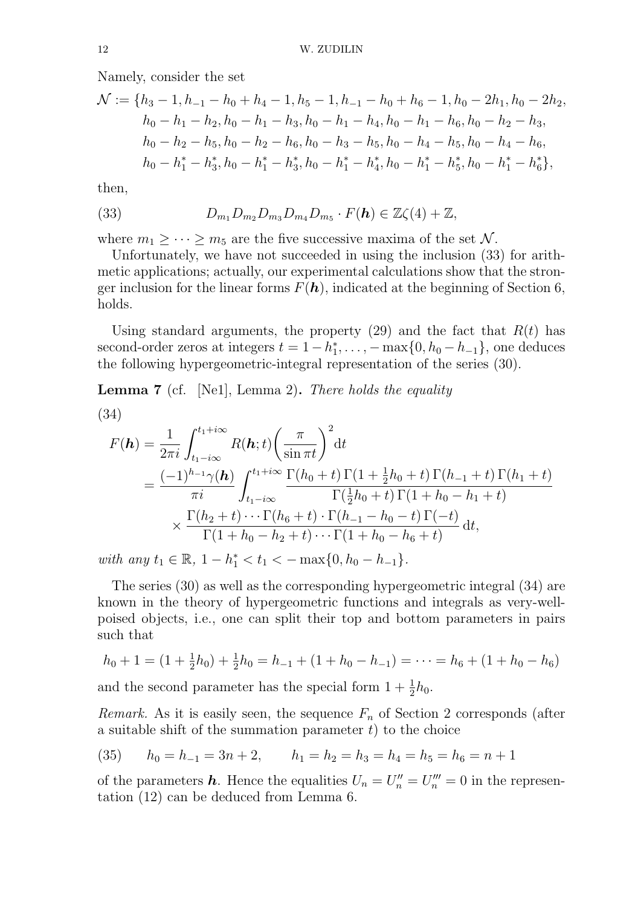Namely, consider the set

$$
\mathcal{N} := \{h_3 - 1, h_{-1} - h_0 + h_4 - 1, h_5 - 1, h_{-1} - h_0 + h_6 - 1, h_0 - 2h_1, h_0 - 2h_2, h_0 - h_1 - h_2, h_0 - h_1 - h_3, h_0 - h_1 - h_4, h_0 - h_1 - h_6, h_0 - h_2 - h_3, h_0 - h_2 - h_5, h_0 - h_2 - h_6, h_0 - h_3 - h_5, h_0 - h_4 - h_5, h_0 - h_4 - h_6, h_0 - h_1^* - h_3^*, h_0 - h_1^* - h_3^*, h_0 - h_1^* - h_4^*, h_0 - h_1^* - h_5^*, h_0 - h_1^* - h_6^* \},
$$

then,

(33) 
$$
D_{m_1}D_{m_2}D_{m_3}D_{m_4}D_{m_5}\cdot F(\mathbf{h})\in\mathbb{Z}\zeta(4)+\mathbb{Z},
$$

where  $m_1 \geq \cdots \geq m_5$  are the five successive maxima of the set  $\mathcal{N}$ .

Unfortunately, we have not succeeded in using the inclusion (33) for arithmetic applications; actually, our experimental calculations show that the stronger inclusion for the linear forms  $F(h)$ , indicated at the beginning of Section 6, holds.

Using standard arguments, the property (29) and the fact that  $R(t)$  has second-order zeros at integers  $t = 1 - h_1^*$  $_1^*, \ldots, -\max\{0, h_0 - h_{-1}\},$  one deduces the following hypergeometric-integral representation of the series (30).

**Lemma 7** (cf. [Ne1], Lemma 2). There holds the equality

(34)

$$
F(\mathbf{h}) = \frac{1}{2\pi i} \int_{t_1 - i\infty}^{t_1 + i\infty} R(\mathbf{h}; t) \left(\frac{\pi}{\sin \pi t}\right)^2 dt
$$
  
= 
$$
\frac{(-1)^{h_{-1}} \gamma(\mathbf{h})}{\pi i} \int_{t_1 - i\infty}^{t_1 + i\infty} \frac{\Gamma(h_0 + t) \Gamma(1 + \frac{1}{2}h_0 + t) \Gamma(h_{-1} + t) \Gamma(h_1 + t)}{\Gamma(\frac{1}{2}h_0 + t) \Gamma(1 + h_0 - h_1 + t)}
$$

$$
\times \frac{\Gamma(h_2 + t) \cdots \Gamma(h_6 + t) \cdot \Gamma(h_{-1} - h_0 - t) \Gamma(-t)}{\Gamma(1 + h_0 - h_2 + t) \cdots \Gamma(1 + h_0 - h_6 + t)} dt,
$$

with any  $t_1 \in \mathbb{R}$ ,  $1 - h_1^* < t_1 < -\max\{0, h_0 - h_{-1}\}.$ 

The series (30) as well as the corresponding hypergeometric integral (34) are known in the theory of hypergeometric functions and integrals as very-wellpoised objects, i.e., one can split their top and bottom parameters in pairs such that

$$
h_0 + 1 = (1 + \frac{1}{2}h_0) + \frac{1}{2}h_0 = h_{-1} + (1 + h_0 - h_{-1}) = \dots = h_6 + (1 + h_0 - h_6)
$$

and the second parameter has the special form  $1 + \frac{1}{2}h_0$ .

*Remark.* As it is easily seen, the sequence  $F_n$  of Section 2 corresponds (after a suitable shift of the summation parameter  $t$ ) to the choice

(35) 
$$
h_0 = h_{-1} = 3n + 2, \qquad h_1 = h_2 = h_3 = h_4 = h_5 = h_6 = n + 1
$$

of the parameters **h**. Hence the equalities  $U_n = U_n'' = U_n''' = 0$  in the representation (12) can be deduced from Lemma 6.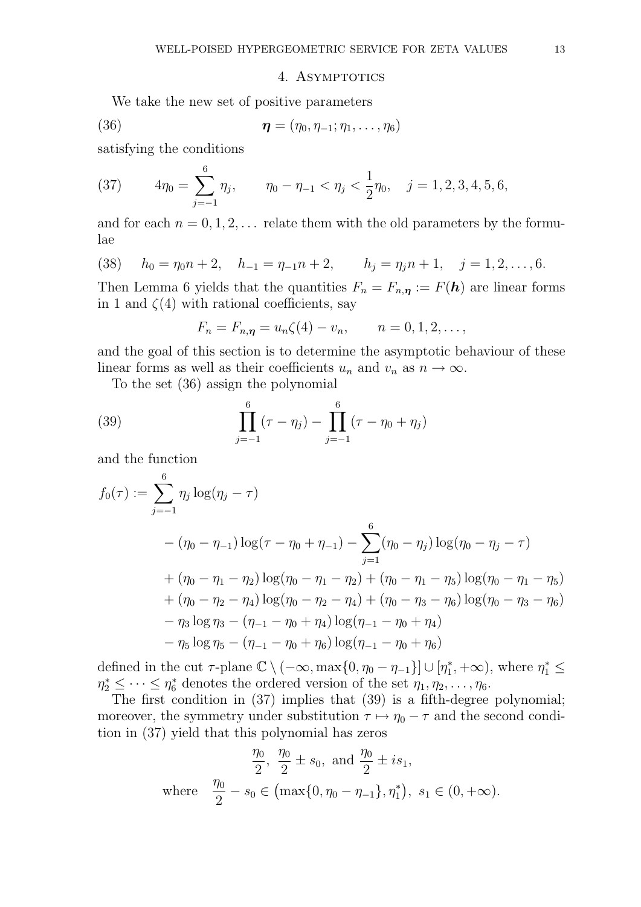#### 4. ASYMPTOTICS

We take the new set of positive parameters

(36) 
$$
\boldsymbol{\eta} = (\eta_0, \eta_{-1}; \eta_1, \ldots, \eta_6)
$$

satisfying the conditions

(37) 
$$
4\eta_0 = \sum_{j=-1}^6 \eta_j, \qquad \eta_0 - \eta_{-1} < \eta_j < \frac{1}{2}\eta_0, \quad j = 1, 2, 3, 4, 5, 6,
$$

and for each  $n = 0, 1, 2, \ldots$  relate them with the old parameters by the formulae

(38) 
$$
h_0 = \eta_0 n + 2
$$
,  $h_{-1} = \eta_{-1} n + 2$ ,  $h_j = \eta_j n + 1$ ,  $j = 1, 2, ..., 6$ .

Then Lemma 6 yields that the quantities  $F_n = F_{n,n} := F(h)$  are linear forms in 1 and  $\zeta(4)$  with rational coefficients, say

$$
F_n = F_{n,\eta} = u_n \zeta(4) - v_n, \qquad n = 0, 1, 2, \dots,
$$

and the goal of this section is to determine the asymptotic behaviour of these linear forms as well as their coefficients  $u_n$  and  $v_n$  as  $n \to \infty$ .

To the set (36) assign the polynomial

(39) 
$$
\prod_{j=-1}^{6} (\tau - \eta_j) - \prod_{j=-1}^{6} (\tau - \eta_0 + \eta_j)
$$

and the function

$$
f_0(\tau) := \sum_{j=-1}^{6} \eta_j \log(\eta_j - \tau)
$$
  
 
$$
- (\eta_0 - \eta_{-1}) \log(\tau - \eta_0 + \eta_{-1}) - \sum_{j=1}^{6} (\eta_0 - \eta_j) \log(\eta_0 - \eta_j - \tau)
$$
  
 
$$
+ (\eta_0 - \eta_1 - \eta_2) \log(\eta_0 - \eta_1 - \eta_2) + (\eta_0 - \eta_1 - \eta_5) \log(\eta_0 - \eta_1 - \eta_5)
$$
  
 
$$
+ (\eta_0 - \eta_2 - \eta_4) \log(\eta_0 - \eta_2 - \eta_4) + (\eta_0 - \eta_3 - \eta_6) \log(\eta_0 - \eta_3 - \eta_6)
$$
  
 
$$
- \eta_3 \log \eta_3 - (\eta_{-1} - \eta_0 + \eta_4) \log(\eta_{-1} - \eta_0 + \eta_4)
$$
  
 
$$
- \eta_5 \log \eta_5 - (\eta_{-1} - \eta_0 + \eta_6) \log(\eta_{-1} - \eta_0 + \eta_6)
$$

defined in the cut  $\tau$ -plane  $\mathbb{C} \setminus (-\infty, \max\{0, \eta_0 - \eta_{-1}\}] \cup [\eta_1^*]$  $\eta_1^*, +\infty$ ), where  $\eta_1^* \leq$  $\eta_2^* \leq \cdots \leq \eta_6^*$  denotes the ordered version of the set  $\eta_1, \eta_2, \ldots, \eta_6$ .

The first condition in (37) implies that (39) is a fifth-degree polynomial; moreover, the symmetry under substitution  $\tau \mapsto \eta_0 - \tau$  and the second condition in (37) yield that this polynomial has zeros

$$
\frac{\eta_0}{2}, \ \frac{\eta_0}{2} \pm s_0, \text{ and } \frac{\eta_0}{2} \pm is_1,
$$
  
where 
$$
\frac{\eta_0}{2} - s_0 \in (\max\{0, \eta_0 - \eta_{-1}\}, \eta_1^*), \ s_1 \in (0, +\infty).
$$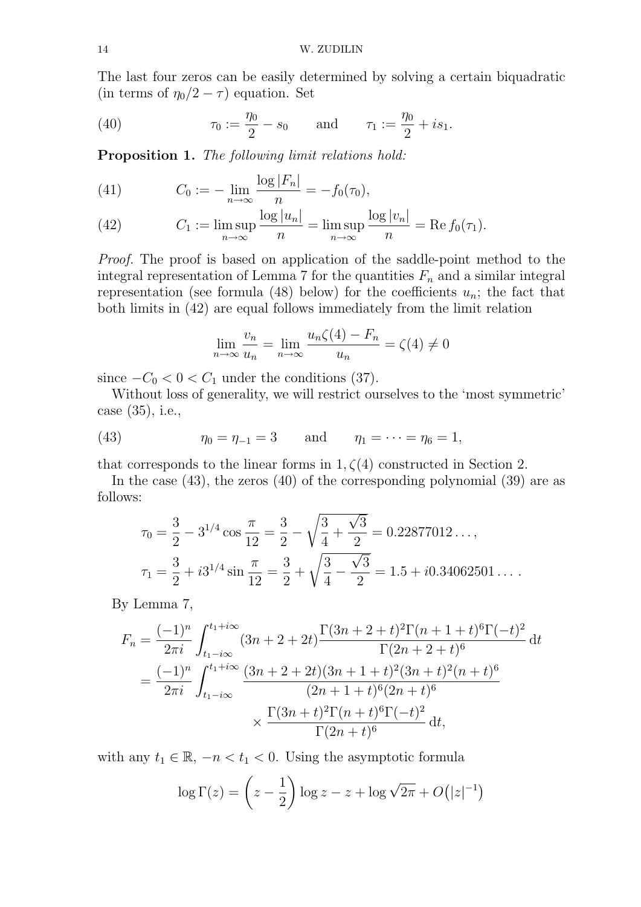The last four zeros can be easily determined by solving a certain biquadratic (in terms of  $\eta_0/2 - \tau$ ) equation. Set

(40) 
$$
\tau_0 := \frac{\eta_0}{2} - s_0
$$
 and  $\tau_1 := \frac{\eta_0}{2} + is_1.$ 

Proposition 1. The following limit relations hold:

(41) 
$$
C_0 := -\lim_{n \to \infty} \frac{\log |F_n|}{n} = -f_0(\tau_0),
$$

(42) 
$$
C_1 := \limsup_{n \to \infty} \frac{\log |u_n|}{n} = \limsup_{n \to \infty} \frac{\log |v_n|}{n} = \text{Re } f_0(\tau_1).
$$

*Proof.* The proof is based on application of the saddle-point method to the integral representation of Lemma 7 for the quantities  $F_n$  and a similar integral representation (see formula (48) below) for the coefficients  $u_n$ ; the fact that both limits in (42) are equal follows immediately from the limit relation

$$
\lim_{n \to \infty} \frac{v_n}{u_n} = \lim_{n \to \infty} \frac{u_n \zeta(4) - F_n}{u_n} = \zeta(4) \neq 0
$$

since  $-C_0 < 0 < C_1$  under the conditions (37).

Without loss of generality, we will restrict ourselves to the 'most symmetric' case (35), i.e.,

(43) 
$$
\eta_0 = \eta_{-1} = 3
$$
 and  $\eta_1 = \cdots = \eta_6 = 1$ ,

that corresponds to the linear forms in  $1, \zeta(4)$  constructed in Section 2.

In the case (43), the zeros (40) of the corresponding polynomial (39) are as follows:

$$
\tau_0 = \frac{3}{2} - 3^{1/4} \cos \frac{\pi}{12} = \frac{3}{2} - \sqrt{\frac{3}{4} + \frac{\sqrt{3}}{2}} = 0.22877012...,
$$
  

$$
\tau_1 = \frac{3}{2} + i3^{1/4} \sin \frac{\pi}{12} = \frac{3}{2} + \sqrt{\frac{3}{4} - \frac{\sqrt{3}}{2}} = 1.5 + i0.34062501....
$$

By Lemma 7,

$$
F_n = \frac{(-1)^n}{2\pi i} \int_{t_1 - i\infty}^{t_1 + i\infty} (3n + 2 + 2t) \frac{\Gamma(3n + 2 + t)^2 \Gamma(n + 1 + t)^6 \Gamma(-t)^2}{\Gamma(2n + 2 + t)^6} dt
$$
  
= 
$$
\frac{(-1)^n}{2\pi i} \int_{t_1 - i\infty}^{t_1 + i\infty} \frac{(3n + 2 + 2t)(3n + 1 + t)^2 (3n + t)^2 (n + t)^6}{(2n + 1 + t)^6 (2n + t)^6}
$$
  

$$
\times \frac{\Gamma(3n + t)^2 \Gamma(n + t)^6 \Gamma(-t)^2}{\Gamma(2n + t)^6} dt,
$$

with any  $t_1 \in \mathbb{R}, -n < t_1 < 0$ . Using the asymptotic formula

$$
\log \Gamma(z) = \left(z - \frac{1}{2}\right) \log z - z + \log \sqrt{2\pi} + O(|z|^{-1})
$$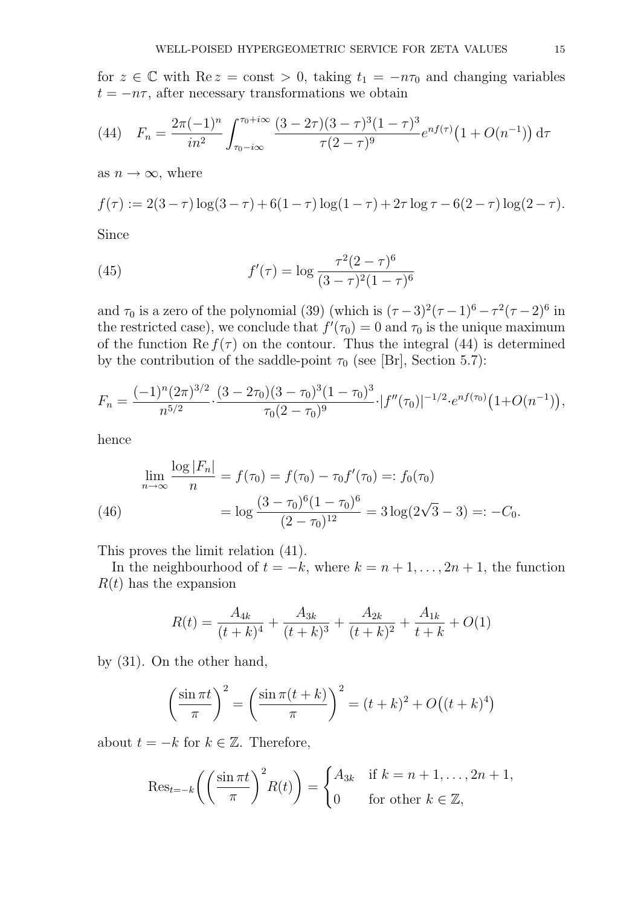for  $z \in \mathbb{C}$  with Re  $z = \text{const} > 0$ , taking  $t_1 = -n\tau_0$  and changing variables  $t = -n\tau$ , after necessary transformations we obtain

(44) 
$$
F_n = \frac{2\pi (-1)^n}{in^2} \int_{\tau_0 - i\infty}^{\tau_0 + i\infty} \frac{(3 - 2\tau)(3 - \tau)^3 (1 - \tau)^3}{\tau (2 - \tau)^9} e^{nf(\tau)} (1 + O(n^{-1})) d\tau
$$

as  $n \to \infty$ , where

$$
f(\tau) := 2(3 - \tau) \log(3 - \tau) + 6(1 - \tau) \log(1 - \tau) + 2\tau \log \tau - 6(2 - \tau) \log(2 - \tau).
$$

Since

(45) 
$$
f'(\tau) = \log \frac{\tau^2 (2 - \tau)^6}{(3 - \tau)^2 (1 - \tau)^6}
$$

and  $\tau_0$  is a zero of the polynomial (39) (which is  $(\tau - 3)^2(\tau - 1)^6 - \tau^2(\tau - 2)^6$  in the restricted case), we conclude that  $f'(\tau_0) = 0$  and  $\tau_0$  is the unique maximum of the function  $\text{Re } f(\tau)$  on the contour. Thus the integral (44) is determined by the contribution of the saddle-point  $\tau_0$  (see [Br], Section 5.7):

$$
F_n = \frac{(-1)^n (2\pi)^{3/2}}{n^{5/2}} \cdot \frac{(3 - 2\tau_0)(3 - \tau_0)^3 (1 - \tau_0)^3}{\tau_0 (2 - \tau_0)^9} \cdot |f''(\tau_0)|^{-1/2} \cdot e^{nf(\tau_0)} (1 + O(n^{-1})),
$$

hence

$$
\lim_{n \to \infty} \frac{\log |F_n|}{n} = f(\tau_0) = f(\tau_0) - \tau_0 f'(\tau_0) =: f_0(\tau_0)
$$
\n
$$
= \log \frac{(3 - \tau_0)^6 (1 - \tau_0)^6}{(2 - \tau_0)^{12}} = 3 \log(2\sqrt{3} - 3) =: -C_0.
$$

This proves the limit relation (41).

In the neighbourhood of  $t = -k$ , where  $k = n + 1, \ldots, 2n + 1$ , the function  $R(t)$  has the expansion

$$
R(t) = \frac{A_{4k}}{(t+k)^4} + \frac{A_{3k}}{(t+k)^3} + \frac{A_{2k}}{(t+k)^2} + \frac{A_{1k}}{t+k} + O(1)
$$

by (31). On the other hand,

$$
\left(\frac{\sin \pi t}{\pi}\right)^2 = \left(\frac{\sin \pi (t+k)}{\pi}\right)^2 = (t+k)^2 + O\left((t+k)^4\right)
$$

about  $t = -k$  for  $k \in \mathbb{Z}$ . Therefore,

$$
\text{Res}_{t=-k} \bigg( \bigg( \frac{\sin \pi t}{\pi} \bigg)^2 R(t) \bigg) = \begin{cases} A_{3k} & \text{if } k=n+1, \dots, 2n+1, \\ 0 & \text{for other } k \in \mathbb{Z}, \end{cases}
$$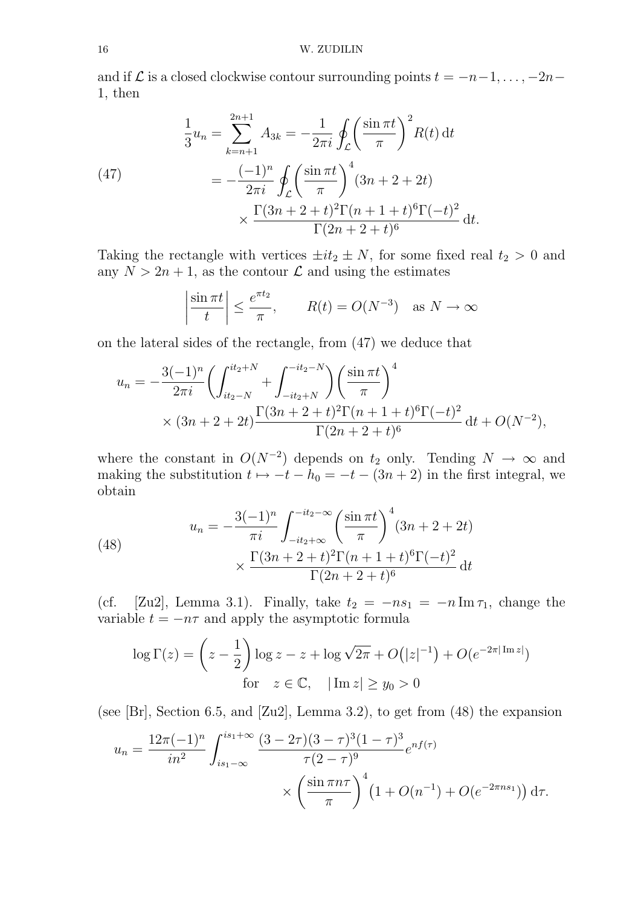#### 16 W. ZUDILIN

and if  $\mathcal L$  is a closed clockwise contour surrounding points  $t = -n-1, \ldots, -2n-1$ 1, then

(47)  
\n
$$
\frac{1}{3}u_n = \sum_{k=n+1}^{2n+1} A_{3k} = -\frac{1}{2\pi i} \oint_C \left(\frac{\sin \pi t}{\pi}\right)^2 R(t) dt
$$
\n
$$
= -\frac{(-1)^n}{2\pi i} \oint_C \left(\frac{\sin \pi t}{\pi}\right)^4 (3n+2+2t)
$$
\n
$$
\times \frac{\Gamma(3n+2+t)^2 \Gamma(n+1+t)^6 \Gamma(-t)^2}{\Gamma(2n+2+t)^6} dt.
$$

Taking the rectangle with vertices  $\pm it_2 \pm N$ , for some fixed real  $t_2 > 0$  and any  $N > 2n + 1$ , as the contour  $\mathcal L$  and using the estimates

$$
\left| \frac{\sin \pi t}{t} \right| \le \frac{e^{\pi t_2}}{\pi}, \qquad R(t) = O(N^{-3}) \quad \text{as } N \to \infty
$$

on the lateral sides of the rectangle, from (47) we deduce that

$$
u_n = -\frac{3(-1)^n}{2\pi i} \left( \int_{it_2-N}^{it_2+N} + \int_{-it_2+N}^{-it_2-N} \right) \left( \frac{\sin \pi t}{\pi} \right)^4
$$
  
 
$$
\times (3n + 2 + 2t) \frac{\Gamma(3n + 2 + t)^2 \Gamma(n + 1 + t)^6 \Gamma(-t)^2}{\Gamma(2n + 2 + t)^6} dt + O(N^{-2}),
$$

where the constant in  $O(N^{-2})$  depends on  $t_2$  only. Tending  $N \to \infty$  and making the substitution  $t \mapsto -t - h_0 = -t - (3n + 2)$  in the first integral, we obtain

(48)  

$$
u_n = -\frac{3(-1)^n}{\pi i} \int_{-it_2+\infty}^{-it_2-\infty} \left(\frac{\sin \pi t}{\pi}\right)^4 (3n+2+2t)
$$

$$
\times \frac{\Gamma(3n+2+t)^2 \Gamma(n+1+t)^6 \Gamma(-t)^2}{\Gamma(2n+2+t)^6} dt
$$

(cf. [Zu2], Lemma 3.1). Finally, take  $t_2 = -ns_1 = -n \operatorname{Im} \tau_1$ , change the variable  $t = -n\tau$  and apply the asymptotic formula

$$
\log \Gamma(z) = \left(z - \frac{1}{2}\right) \log z - z + \log \sqrt{2\pi} + O(|z|^{-1}) + O(e^{-2\pi |\operatorname{Im} z|})
$$
  
for  $z \in \mathbb{C}$ ,  $|\operatorname{Im} z| \ge y_0 > 0$ 

(see [Br], Section 6.5, and [Zu2], Lemma 3.2), to get from  $(48)$  the expansion

$$
u_n = \frac{12\pi(-1)^n}{in^2} \int_{is_1-\infty}^{is_1+\infty} \frac{(3-2\tau)(3-\tau)^3(1-\tau)^3}{\tau(2-\tau)^9} e^{nf(\tau)} \times \left(\frac{\sin\pi n\tau}{\pi}\right)^4 \left(1 + O(n^{-1}) + O(e^{-2\pi n s_1})\right) d\tau.
$$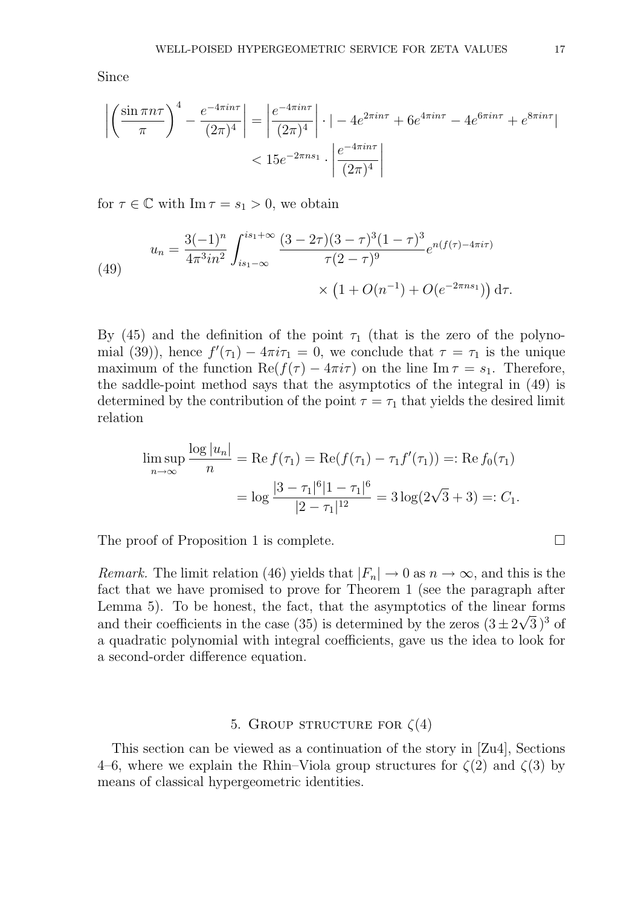Since

$$
\left| \left( \frac{\sin \pi n \tau}{\pi} \right)^4 - \frac{e^{-4\pi i n \tau}}{(2\pi)^4} \right| = \left| \frac{e^{-4\pi i n \tau}}{(2\pi)^4} \right| \cdot \left| -4e^{2\pi i n \tau} + 6e^{4\pi i n \tau} - 4e^{6\pi i n \tau} + e^{8\pi i n \tau} \right|
$$
  
<  $15e^{-2\pi n s_1} \cdot \left| \frac{e^{-4\pi i n \tau}}{(2\pi)^4} \right|$ 

for  $\tau \in \mathbb{C}$  with  $\text{Im } \tau = s_1 > 0$ , we obtain

(49)  

$$
u_n = \frac{3(-1)^n}{4\pi^3 in^2} \int_{is_1-\infty}^{is_1+\infty} \frac{(3-2\tau)(3-\tau)^3(1-\tau)^3}{\tau(2-\tau)^9} e^{n(f(\tau)-4\pi i\tau)}
$$

$$
\times \left(1 + O(n^{-1}) + O(e^{-2\pi n s_1})\right) d\tau.
$$

By (45) and the definition of the point  $\tau_1$  (that is the zero of the polynomial (39)), hence  $f'(\tau_1) - 4\pi i \tau_1 = 0$ , we conclude that  $\tau = \tau_1$  is the unique maximum of the function  $\text{Re}(f(\tau) - 4\pi i \tau)$  on the line Im  $\tau = s_1$ . Therefore, the saddle-point method says that the asymptotics of the integral in (49) is determined by the contribution of the point  $\tau = \tau_1$  that yields the desired limit relation

$$
\limsup_{n \to \infty} \frac{\log |u_n|}{n} = \text{Re}\, f(\tau_1) = \text{Re}(f(\tau_1) - \tau_1 f'(\tau_1)) =: \text{Re}\, f_0(\tau_1)
$$
\n
$$
= \log \frac{|3 - \tau_1|^6 |1 - \tau_1|^6}{|2 - \tau_1|^{12}} = 3 \log(2\sqrt{3} + 3) =: C_1.
$$

The proof of Proposition 1 is complete.

*Remark.* The limit relation (46) yields that  $|F_n| \to 0$  as  $n \to \infty$ , and this is the fact that we have promised to prove for Theorem 1 (see the paragraph after Lemma 5). To be honest, the fact, that the asymptotics of the linear forms and their coefficients in the case (35) is determined by the zeros  $(3 \pm 2\sqrt{3})^3$  of a quadratic polynomial with integral coefficients, gave us the idea to look for a second-order difference equation.

### 5. GROUP STRUCTURE FOR  $\zeta(4)$

This section can be viewed as a continuation of the story in [Zu4], Sections 4–6, where we explain the Rhin–Viola group structures for  $\zeta(2)$  and  $\zeta(3)$  by means of classical hypergeometric identities.

$$
\Box
$$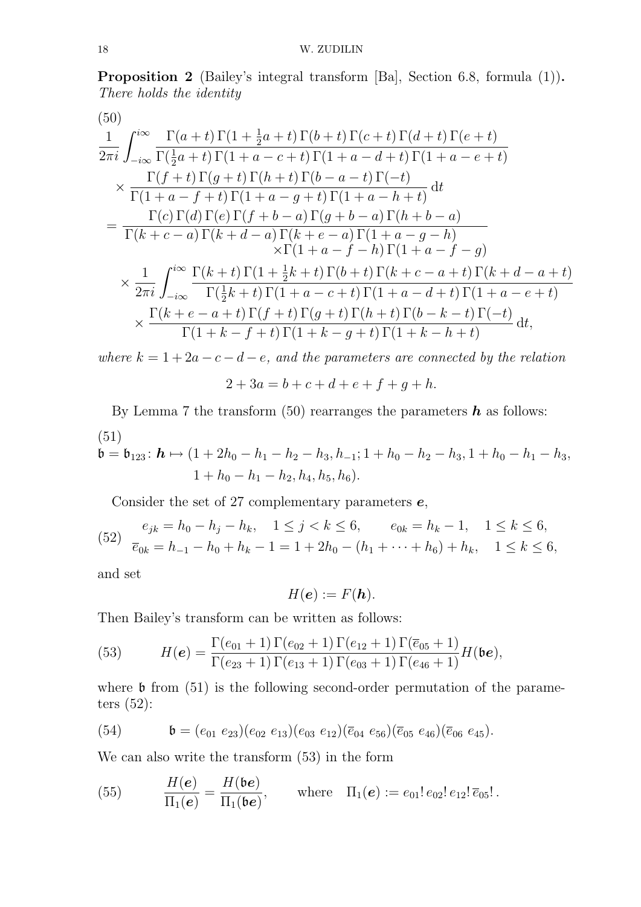Proposition 2 (Bailey's integral transform [Ba], Section 6.8, formula (1)). There holds the identity

(50)  
\n
$$
\frac{1}{2\pi i} \int_{-i\infty}^{i\infty} \frac{\Gamma(a+t)\Gamma(1+\frac{1}{2}a+t)\Gamma(b+t)\Gamma(c+t)\Gamma(d+t)\Gamma(e+t)}{\Gamma(\frac{1}{2}a+t)\Gamma(1+a-c+t)\Gamma(1+a-d+t)\Gamma(1+a-e+t)} \times \frac{\Gamma(f+t)\Gamma(g+t)\Gamma(h+t)\Gamma(b-a-t)\Gamma(-t)}{\Gamma(1+a-f+t)\Gamma(1+a-g+t)\Gamma(1+a-h+t)} dt \n= \frac{\Gamma(c)\Gamma(d)\Gamma(e)\Gamma(f+b-a)\Gamma(g+b-a)\Gamma(h+b-a)}{\Gamma(k+c-a)\Gamma(k+d-a)\Gamma(k+e-a)\Gamma(1+a-g-h)} \times \Gamma(1+a-f-h)\Gamma(1+a-f-g) \n\times \frac{1}{2\pi i} \int_{-i\infty}^{i\infty} \frac{\Gamma(k+t)\Gamma(1+\frac{1}{2}k+t)\Gamma(b+t)\Gamma(k+c-a+t)\Gamma(k+d-a+t)}{\Gamma(\frac{1}{2}k+t)\Gamma(1+a-c+t)\Gamma(1+a-d+t)\Gamma(1+a-e+t)} \n\times \frac{\Gamma(k+e-a+t)\Gamma(f+t)\Gamma(g+t)\Gamma(h+t)\Gamma(b-k-t)\Gamma(-t)}{\Gamma(1+k-f+t)\Gamma(1+k-g+t)\Gamma(1+k-h+t)} dt,
$$

where  $k = 1 + 2a - c - d - e$ , and the parameters are connected by the relation

$$
2 + 3a = b + c + d + e + f + g + h.
$$

By Lemma 7 the transform (50) rearranges the parameters  $h$  as follows: (51)

$$
\mathfrak{b} = \mathfrak{b}_{123} \colon \mathbf{h} \mapsto (1 + 2h_0 - h_1 - h_2 - h_3, h_{-1}; 1 + h_0 - h_2 - h_3, 1 + h_0 - h_1 - h_3,
$$
  

$$
1 + h_0 - h_1 - h_2, h_4, h_5, h_6).
$$

Consider the set of 27 complementary parameters  $e$ ,

(52) 
$$
e_{jk} = h_0 - h_j - h_k, \quad 1 \le j < k \le 6, \qquad e_{0k} = h_k - 1, \quad 1 \le k \le 6,
$$

$$
\overline{e}_{0k} = h_{-1} - h_0 + h_k - 1 = 1 + 2h_0 - (h_1 + \dots + h_6) + h_k, \quad 1 \le k \le 6,
$$

and set

$$
H(\mathbf{e}) := F(\mathbf{h}).
$$

Then Bailey's transform can be written as follows:

(53) 
$$
H(e) = \frac{\Gamma(e_{01} + 1) \Gamma(e_{02} + 1) \Gamma(e_{12} + 1) \Gamma(\overline{e}_{05} + 1)}{\Gamma(e_{23} + 1) \Gamma(e_{13} + 1) \Gamma(e_{03} + 1) \Gamma(e_{46} + 1)} H(\mathfrak{b}\mathbf{e}),
$$

where  $\mathfrak b$  from (51) is the following second-order permutation of the parameters (52):

(54) 
$$
\mathfrak{b} = (e_{01} e_{23})(e_{02} e_{13})(e_{03} e_{12})(\overline{e}_{04} e_{56})(\overline{e}_{05} e_{46})(\overline{e}_{06} e_{45}).
$$

We can also write the transform (53) in the form

(55) 
$$
\frac{H(e)}{\Pi_1(e)} = \frac{H(\mathfrak{b}e)}{\Pi_1(\mathfrak{b}e)}, \quad \text{where} \quad \Pi_1(e) := e_{01}! \, e_{02}! \, e_{12}! \, \overline{e}_{05}! \, .
$$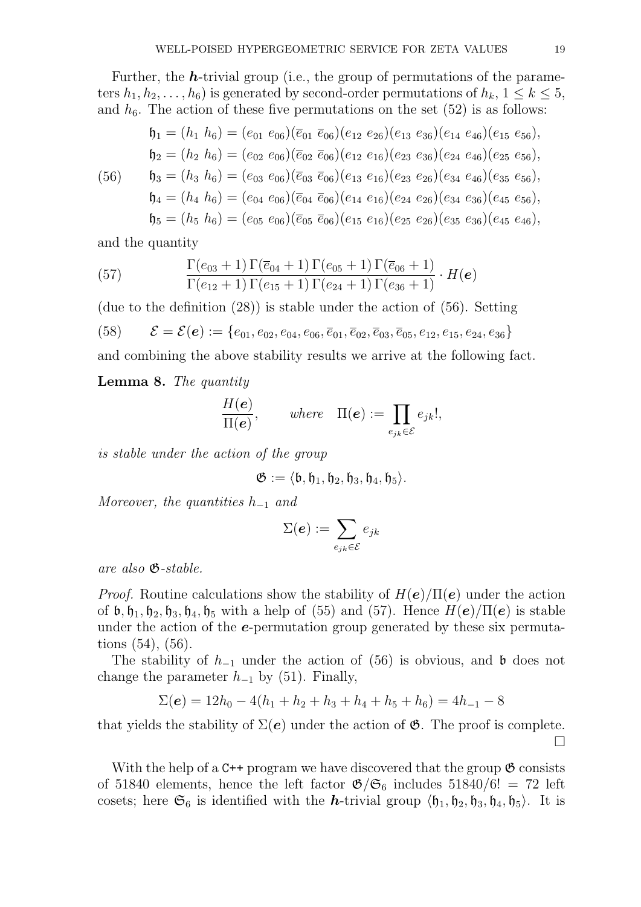Further, the  $h$ -trivial group (i.e., the group of permutations of the parameters  $h_1, h_2, \ldots, h_6$  is generated by second-order permutations of  $h_k$ ,  $1 \leq k \leq 5$ , and  $h_6$ . The action of these five permutations on the set  $(52)$  is as follows:

\n
$$
\mathfrak{h}_1 = (h_1 \ h_6) = (e_{01} \ e_{06})(\overline{e}_{01} \ \overline{e}_{06})(e_{12} \ e_{26})(e_{13} \ e_{36})(e_{14} \ e_{46})(e_{15} \ e_{56}),
$$
\n

\n\n $\mathfrak{h}_2 = (h_2 \ h_6) = (e_{02} \ e_{06})(\overline{e}_{02} \ \overline{e}_{06})(e_{12} \ e_{16})(e_{23} \ e_{36})(e_{24} \ e_{46})(e_{25} \ e_{56}),$ \n

\n\n $\mathfrak{h}_3 = (h_3 \ h_6) = (e_{03} \ e_{06})(\overline{e}_{03} \ \overline{e}_{06})(e_{13} \ e_{16})(e_{23} \ e_{26})(e_{34} \ e_{46})(e_{35} \ e_{56}),$ \n

\n\n $\mathfrak{h}_4 = (h_4 \ h_6) = (e_{04} \ e_{06})(\overline{e}_{04} \ \overline{e}_{06})(e_{14} \ e_{16})(e_{24} \ e_{26})(e_{34} \ e_{36})(e_{45} \ e_{56}),$ \n

\n\n $\mathfrak{h}_5 = (h_5 \ h_6) = (e_{05} \ e_{06})(\overline{e}_{05} \ \overline{e}_{06})(e_{15} \ e_{16})(e_{25} \ e_{26})(e_{35} \ e_{36})(e_{45} \ e_{46}),$ \n

and the quantity

(57) 
$$
\frac{\Gamma(e_{03}+1)\Gamma(\overline{e}_{04}+1)\Gamma(e_{05}+1)\Gamma(\overline{e}_{06}+1)}{\Gamma(e_{12}+1)\Gamma(e_{15}+1)\Gamma(e_{24}+1)\Gamma(e_{36}+1)}\cdot H(\mathbf{e})
$$

(due to the definition (28)) is stable under the action of (56). Setting (58)  $\mathcal{E} = \mathcal{E}(\boldsymbol{e}) := \{e_{01}, e_{02}, e_{04}, e_{06}, \overline{e}_{01}, \overline{e}_{02}, \overline{e}_{03}, \overline{e}_{05}, e_{12}, e_{15}, e_{24}, e_{36}\}\$ and combining the above stability results we arrive at the following fact.

Lemma 8. The quantity

$$
\frac{H(\boldsymbol{e})}{\Pi(\boldsymbol{e})}, \quad where \quad \Pi(\boldsymbol{e}) := \prod_{e_{jk} \in \mathcal{E}} e_{jk}!,
$$

is stable under the action of the group

$$
\mathfrak{G}:=\langle \mathfrak{b},\mathfrak{h}_1,\mathfrak{h}_2,\mathfrak{h}_3,\mathfrak{h}_4,\mathfrak{h}_5\rangle.
$$

Moreover, the quantities  $h_{-1}$  and

$$
\Sigma(\boldsymbol{e}) := \sum_{e_{jk} \in \mathcal{E}} e_{jk}
$$

are also G-stable.

*Proof.* Routine calculations show the stability of  $H(e)/\Pi(e)$  under the action of  $\mathfrak{b}, \mathfrak{h}_1, \mathfrak{h}_2, \mathfrak{h}_3, \mathfrak{h}_4, \mathfrak{h}_5$  with a help of (55) and (57). Hence  $H(\mathbf{e})/\Pi(\mathbf{e})$  is stable under the action of the **e**-permutation group generated by these six permutations (54), (56).

The stability of  $h_{-1}$  under the action of (56) is obvious, and b does not change the parameter  $h_{-1}$  by (51). Finally,

$$
\Sigma(e) = 12h_0 - 4(h_1 + h_2 + h_3 + h_4 + h_5 + h_6) = 4h_{-1} - 8
$$

that yields the stability of  $\Sigma(e)$  under the action of  $\mathfrak{G}$ . The proof is complete.  $\Box$ 

With the help of a  $C^{++}$  program we have discovered that the group  $\mathfrak{G}$  consists of 51840 elements, hence the left factor  $\mathfrak{G}/\mathfrak{S}_6$  includes 51840/6! = 72 left cosets; here  $\mathfrak{S}_6$  is identified with the *h*-trivial group  $\langle \mathfrak{h}_1, \mathfrak{h}_2, \mathfrak{h}_3, \mathfrak{h}_4, \mathfrak{h}_5 \rangle$ . It is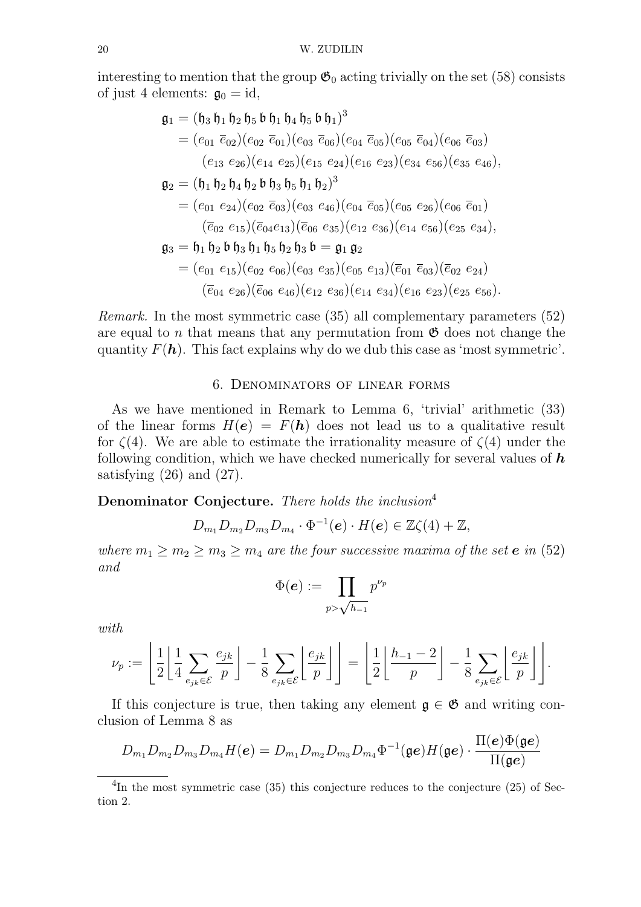interesting to mention that the group  $\mathfrak{G}_0$  acting trivially on the set (58) consists of just 4 elements:  $\mathfrak{g}_0 = id$ ,

$$
\mathfrak{g}_1 = (\mathfrak{h}_3 \mathfrak{h}_1 \mathfrak{h}_2 \mathfrak{h}_5 \mathfrak{b} \mathfrak{h}_1 \mathfrak{h}_4 \mathfrak{h}_5 \mathfrak{b} \mathfrak{h}_1)^3
$$
  
\n
$$
= (e_{01} \overline{e}_{02})(e_{02} \overline{e}_{01})(e_{03} \overline{e}_{06})(e_{04} \overline{e}_{05})(e_{05} \overline{e}_{04})(e_{06} \overline{e}_{03})
$$
  
\n
$$
(e_{13} e_{26})(e_{14} e_{25})(e_{15} e_{24})(e_{16} e_{23})(e_{34} e_{56})(e_{35} e_{46}),
$$
  
\n
$$
\mathfrak{g}_2 = (\mathfrak{h}_1 \mathfrak{h}_2 \mathfrak{h}_4 \mathfrak{h}_2 \mathfrak{b} \mathfrak{h}_3 \mathfrak{h}_5 \mathfrak{h}_1 \mathfrak{h}_2)^3
$$
  
\n
$$
= (e_{01} e_{24})(e_{02} \overline{e}_{03})(e_{03} e_{46})(e_{04} \overline{e}_{05})(e_{05} e_{26})(e_{06} \overline{e}_{01})
$$
  
\n
$$
(\overline{e}_{02} e_{15})(\overline{e}_{04} e_{13})(\overline{e}_{06} e_{35})(e_{12} e_{36})(e_{14} e_{56})(e_{25} e_{34}),
$$
  
\n
$$
\mathfrak{g}_3 = \mathfrak{h}_1 \mathfrak{h}_2 \mathfrak{b} \mathfrak{h}_3 \mathfrak{h}_1 \mathfrak{h}_5 \mathfrak{h}_2 \mathfrak{h}_3 \mathfrak{b} = \mathfrak{g}_1 \mathfrak{g}_2
$$
  
\n
$$
= (e_{01} e_{15})(e_{02} e_{06})(e_{03} e_{35})(e_{05} e_{13})(\overline{e}_{01} \overline{e}_{03})(\overline{e}_{02} e_{24})
$$
  
\n
$$
(\overline{e}_{04} e_{26})(\overline{e}_{06} e_{46})(e_{12}
$$

Remark. In the most symmetric case (35) all complementary parameters (52) are equal to n that means that any permutation from  $\mathfrak G$  does not change the quantity  $F(\mathbf{h})$ . This fact explains why do we dub this case as 'most symmetric'.

### 6. Denominators of linear forms

As we have mentioned in Remark to Lemma 6, 'trivial' arithmetic (33) of the linear forms  $H(e) = F(h)$  does not lead us to a qualitative result for  $\zeta(4)$ . We are able to estimate the irrationality measure of  $\zeta(4)$  under the following condition, which we have checked numerically for several values of  $h$ satisfying  $(26)$  and  $(27)$ .

# **Denominator Conjecture.** There holds the inclusion<sup>4</sup>

$$
D_{m_1}D_{m_2}D_{m_3}D_{m_4}\cdot\Phi^{-1}(\boldsymbol{e})\cdot H(\boldsymbol{e})\in\mathbb{Z}\zeta(4)+\mathbb{Z},
$$

where  $m_1 \geq m_2 \geq m_3 \geq m_4$  are the four successive maxima of the set **e** in (52) and

$$
\Phi(\bm{e}) := \prod_{p > \sqrt{h_{-1}}} p^{\nu_p}
$$

with

$$
\nu_p := \left\lfloor \frac{1}{2} \left\lfloor \frac{1}{4} \sum_{e_{jk} \in \mathcal{E}} \frac{e_{jk}}{p} \right\rfloor - \frac{1}{8} \sum_{e_{jk} \in \mathcal{E}} \left\lfloor \frac{e_{jk}}{p} \right\rfloor \right\rfloor = \left\lfloor \frac{1}{2} \left\lfloor \frac{h_{-1} - 2}{p} \right\rfloor - \frac{1}{8} \sum_{e_{jk} \in \mathcal{E}} \left\lfloor \frac{e_{jk}}{p} \right\rfloor \right\rfloor.
$$

If this conjecture is true, then taking any element  $\mathfrak{g} \in \mathfrak{G}$  and writing conclusion of Lemma 8 as

$$
D_{m_1}D_{m_2}D_{m_3}D_{m_4}H(\boldsymbol{e})=D_{m_1}D_{m_2}D_{m_3}D_{m_4}\Phi^{-1}(\mathfrak{g}\boldsymbol{e})H(\mathfrak{g}\boldsymbol{e})\cdot\frac{\Pi(\boldsymbol{e})\Phi(\mathfrak{g}\boldsymbol{e})}{\Pi(\mathfrak{g}\boldsymbol{e})}
$$

<sup>&</sup>lt;sup>4</sup>In the most symmetric case (35) this conjecture reduces to the conjecture (25) of Section 2.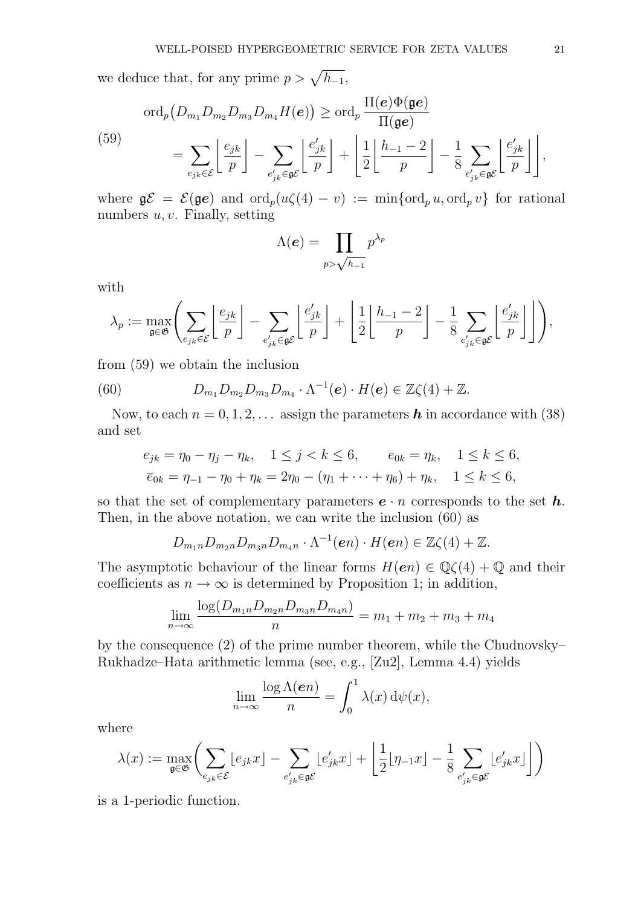we deduce that, for any prime  $p > \sqrt{h_{-1}}$ ,

$$
\operatorname{ord}_p(D_{m_1}D_{m_2}D_{m_3}D_{m_4}H(\mathbf{e})) \ge \operatorname{ord}_p\frac{\Pi(\mathbf{e})\Phi(\mathbf{g}\mathbf{e})}{\Pi(\mathbf{g}\mathbf{e})}
$$
  

$$
= \sum_{e_{jk}\in\mathcal{E}} \left\lfloor \frac{e_{jk}}{p} \right\rfloor - \sum_{e'_{jk}\in\mathbf{g}\mathcal{E}} \left\lfloor \frac{e'_{jk}}{p} \right\rfloor + \left\lfloor \frac{1}{2} \left\lfloor \frac{h_{-1}-2}{p} \right\rfloor - \frac{1}{8} \sum_{e'_{jk}\in\mathbf{g}\mathcal{E}} \left\lfloor \frac{e'_{jk}}{p} \right\rfloor \right\rfloor,
$$

where  $\mathfrak{g}\mathcal{E} = \mathcal{E}(\mathfrak{g}e)$  and  $\text{ord}_p(u\zeta(4)-v) := \min\{\text{ord}_p u, \text{ord}_p v\}$  for rational numbers  $u, v$ . Finally, setting

$$
\Lambda(e) = \prod_{p > \sqrt{h_{-1}}} p^{\lambda_p}
$$

with

$$
\lambda_p := \max_{\mathfrak{g} \in \mathfrak{G}} \left( \sum_{e_{jk} \in \mathcal{E}} \left\lfloor \frac{e_{jk}}{p} \right\rfloor - \sum_{e'_{jk} \in \mathfrak{g} \mathcal{E}} \left\lfloor \frac{e'_{jk}}{p} \right\rfloor + \left\lfloor \frac{1}{2} \left\lfloor \frac{h_{-1} - 2}{p} \right\rfloor - \frac{1}{8} \sum_{e'_{jk} \in \mathfrak{g} \mathcal{E}} \left\lfloor \frac{e'_{jk}}{p} \right\rfloor \right\rfloor \right),
$$

from (59) we obtain the inclusion

(60) 
$$
D_{m_1}D_{m_2}D_{m_3}D_{m_4}\cdot\Lambda^{-1}(e)\cdot H(e)\in\mathbb{Z}\zeta(4)+\mathbb{Z}.
$$

Now, to each  $n = 0, 1, 2, \ldots$  assign the parameters **h** in accordance with (38) and set

$$
e_{jk} = \eta_0 - \eta_j - \eta_k, \quad 1 \le j < k \le 6, \qquad e_{0k} = \eta_k, \quad 1 \le k \le 6,
$$
\n
$$
\overline{e}_{0k} = \eta_{-1} - \eta_0 + \eta_k = 2\eta_0 - (\eta_1 + \dots + \eta_6) + \eta_k, \quad 1 \le k \le 6,
$$

so that the set of complementary parameters  $e \cdot n$  corresponds to the set h. Then, in the above notation, we can write the inclusion (60) as

$$
D_{m_1n}D_{m_2n}D_{m_3n}D_{m_4n} \cdot \Lambda^{-1}(en) \cdot H(en) \in \mathbb{Z}\zeta(4) + \mathbb{Z}.
$$

The asymptotic behaviour of the linear forms  $H(en) \in \mathbb{Q}\zeta(4) + \mathbb{Q}$  and their coefficients as  $n \to \infty$  is determined by Proposition 1; in addition,

$$
\lim_{n \to \infty} \frac{\log(D_{m_1n}D_{m_2n}D_{m_3n}D_{m_4n})}{n} = m_1 + m_2 + m_3 + m_4
$$

by the consequence (2) of the prime number theorem, while the Chudnovsky– Rukhadze–Hata arithmetic lemma (see, e.g., [Zu2], Lemma 4.4) yields

$$
\lim_{n \to \infty} \frac{\log \Lambda(en)}{n} = \int_0^1 \lambda(x) \, \mathrm{d}\psi(x),
$$

where

$$
\lambda(x) := \max_{\mathfrak{g} \in \mathfrak{G}} \bigg( \sum_{e_{jk} \in \mathcal{E}} \lfloor e_{jk} x \rfloor - \sum_{e'_{jk} \in \mathfrak{g} \mathcal{E}} \lfloor e'_{jk} x \rfloor + \left\lfloor \frac{1}{2} \lfloor \eta_{-1} x \rfloor - \frac{1}{8} \sum_{e'_{jk} \in \mathfrak{g} \mathcal{E}} \lfloor e'_{jk} x \rfloor \right\rfloor \bigg)
$$

is a 1-periodic function.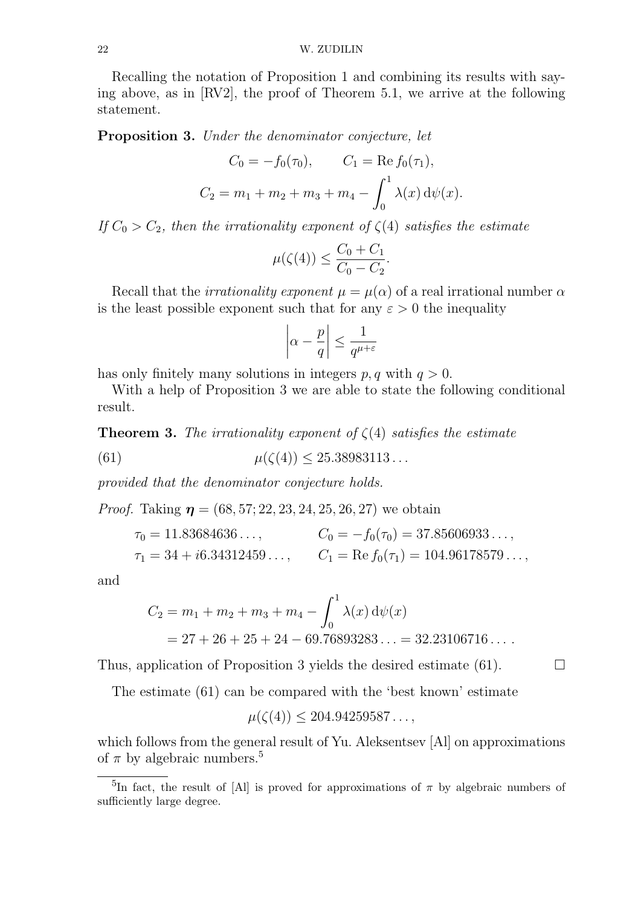Recalling the notation of Proposition 1 and combining its results with saying above, as in [RV2], the proof of Theorem 5.1, we arrive at the following statement.

Proposition 3. Under the denominator conjecture, let

$$
C_0 = -f_0(\tau_0), \qquad C_1 = \text{Re } f_0(\tau_1),
$$
  

$$
C_2 = m_1 + m_2 + m_3 + m_4 - \int_0^1 \lambda(x) \, d\psi(x).
$$

If  $C_0 > C_2$ , then the irrationality exponent of  $\zeta(4)$  satisfies the estimate

$$
\mu(\zeta(4)) \le \frac{C_0 + C_1}{C_0 - C_2}.
$$

Recall that the *irrationality exponent*  $\mu = \mu(\alpha)$  of a real irrational number  $\alpha$ is the least possible exponent such that for any  $\varepsilon > 0$  the inequality

$$
\left|\alpha - \frac{p}{q}\right| \le \frac{1}{q^{\mu+\varepsilon}}
$$

has only finitely many solutions in integers  $p, q$  with  $q > 0$ .

With a help of Proposition 3 we are able to state the following conditional result.

**Theorem 3.** The irrationality exponent of  $\zeta(4)$  satisfies the estimate

(61) 
$$
\mu(\zeta(4)) \le 25.38983113...
$$

provided that the denominator conjecture holds.

*Proof.* Taking  $\eta = (68, 57, 22, 23, 24, 25, 26, 27)$  we obtain

$$
\tau_0 = 11.83684636..., \qquad C_0 = -f_0(\tau_0) = 37.85606933...,
$$
  
\n
$$
\tau_1 = 34 + i6.34312459..., \qquad C_1 = \text{Re } f_0(\tau_1) = 104.96178579...,
$$

and

$$
C_2 = m_1 + m_2 + m_3 + m_4 - \int_0^1 \lambda(x) \, d\psi(x)
$$
  
= 27 + 26 + 25 + 24 - 69.76893283... = 32.23106716....

Thus, application of Proposition 3 yields the desired estimate (61).  $\Box$ 

The estimate (61) can be compared with the 'best known' estimate

$$
\mu(\zeta(4)) \le 204.94259587\dots,
$$

which follows from the general result of Yu. Aleksentsev [Al] on approximations of  $\pi$  by algebraic numbers.<sup>5</sup>

<sup>&</sup>lt;sup>5</sup>In fact, the result of [Al] is proved for approximations of  $\pi$  by algebraic numbers of sufficiently large degree.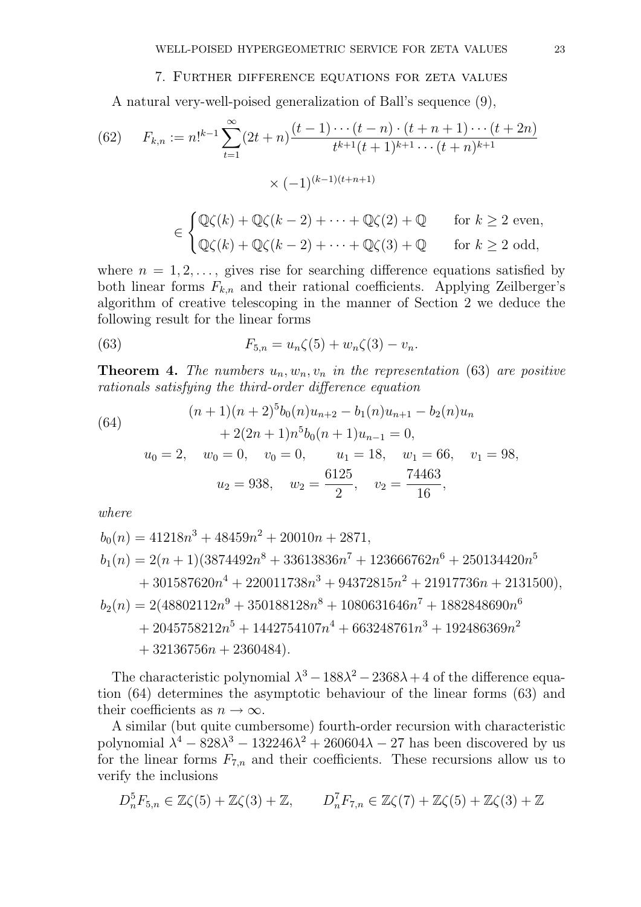#### 7. Further difference equations for zeta values

A natural very-well-poised generalization of Ball's sequence (9),

(62) 
$$
F_{k,n} := n!^{k-1} \sum_{t=1}^{\infty} (2t+n) \frac{(t-1)\cdots(t-n) \cdot (t+n+1)\cdots(t+2n)}{t^{k+1}(t+1)^{k+1}\cdots(t+n)^{k+1}}
$$

$$
\times (-1)^{(k-1)(t+n+1)}
$$

$$
\in \begin{cases} \mathbb{Q}\zeta(k) + \mathbb{Q}\zeta(k-2) + \dots + \mathbb{Q}\zeta(2) + \mathbb{Q} & \text{for } k \ge 2 \text{ even,} \\ \mathbb{Q}\zeta(k) + \mathbb{Q}\zeta(k-2) + \dots + \mathbb{Q}\zeta(3) + \mathbb{Q} & \text{for } k \ge 2 \text{ odd,} \end{cases}
$$

where  $n = 1, 2, \ldots$ , gives rise for searching difference equations satisfied by both linear forms  $F_{k,n}$  and their rational coefficients. Applying Zeilberger's algorithm of creative telescoping in the manner of Section 2 we deduce the following result for the linear forms

(63) 
$$
F_{5,n} = u_n \zeta(5) + w_n \zeta(3) - v_n.
$$

**Theorem 4.** The numbers  $u_n, w_n, v_n$  in the representation (63) are positive rationals satisfying the third-order difference equation

(64)  
\n
$$
(n+1)(n+2)^{5}b_{0}(n)u_{n+2} - b_{1}(n)u_{n+1} - b_{2}(n)u_{n}
$$
\n
$$
+ 2(2n+1)n^{5}b_{0}(n+1)u_{n-1} = 0,
$$
\n
$$
u_{0} = 2, \quad w_{0} = 0, \quad v_{0} = 0, \quad u_{1} = 18, \quad w_{1} = 66, \quad v_{1} = 98,
$$
\n
$$
u_{2} = 938, \quad w_{2} = \frac{6125}{2}, \quad v_{2} = \frac{74463}{16},
$$

where

$$
b_0(n) = 41218n^3 + 48459n^2 + 20010n + 2871,
$$
  
\n
$$
b_1(n) = 2(n + 1)(3874492n^8 + 33613836n^7 + 123666762n^6 + 250134420n^5
$$
  
\n
$$
+ 301587620n^4 + 220011738n^3 + 94372815n^2 + 21917736n + 2131500),
$$
  
\n
$$
b_2(n) = 2(48802112n^9 + 350188128n^8 + 1080631646n^7 + 1882848690n^6
$$
  
\n
$$
+ 2045758212n^5 + 1442754107n^4 + 663248761n^3 + 192486369n^2
$$
  
\n
$$
+ 32136756n + 2360484).
$$

The characteristic polynomial  $\lambda^3 - 188\lambda^2 - 2368\lambda + 4$  of the difference equation (64) determines the asymptotic behaviour of the linear forms (63) and their coefficients as  $n \to \infty$ .

A similar (but quite cumbersome) fourth-order recursion with characteristic polynomial  $\lambda^4 - 828\lambda^3 - 132246\lambda^2 + 260604\lambda - 27$  has been discovered by us for the linear forms  $F_{7,n}$  and their coefficients. These recursions allow us to verify the inclusions

$$
D_n^5 F_{5,n} \in \mathbb{Z}\zeta(5) + \mathbb{Z}\zeta(3) + \mathbb{Z}, \qquad D_n^7 F_{7,n} \in \mathbb{Z}\zeta(7) + \mathbb{Z}\zeta(5) + \mathbb{Z}\zeta(3) + \mathbb{Z}
$$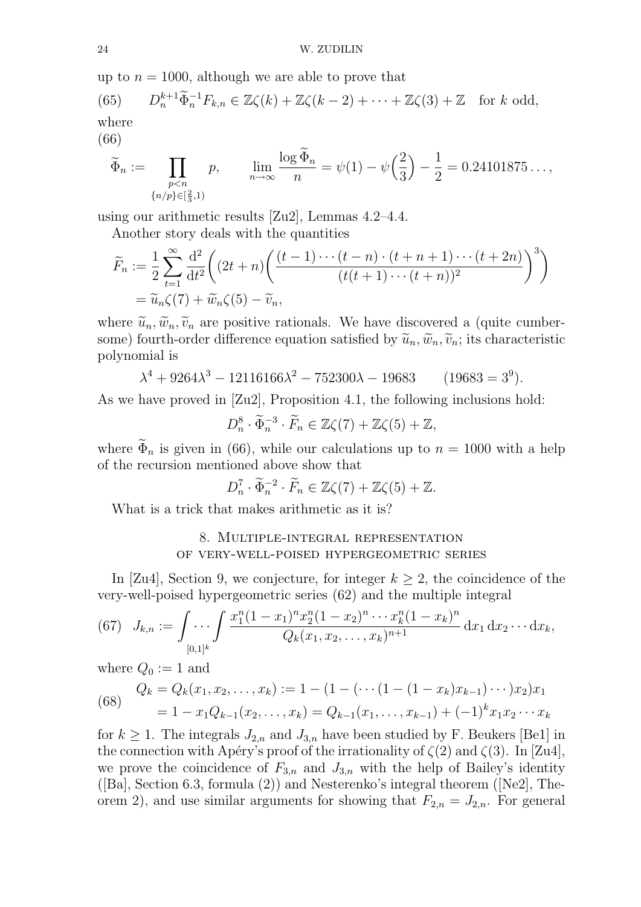up to  $n = 1000$ , although we are able to prove that

(65) 
$$
D_n^{k+1} \widetilde{\Phi}_n^{-1} F_{k,n} \in \mathbb{Z}\zeta(k) + \mathbb{Z}\zeta(k-2) + \cdots + \mathbb{Z}\zeta(3) + \mathbb{Z} \text{ for } k \text{ odd,}
$$
  
where

(66)

$$
\widetilde{\Phi}_n := \prod_{\substack{p < n \\ \{n/p\} \in [\frac{2}{3}, 1)}} p, \qquad \lim_{n \to \infty} \frac{\log \widetilde{\Phi}_n}{n} = \psi(1) - \psi\left(\frac{2}{3}\right) - \frac{1}{2} = 0.24101875\dots,
$$

using our arithmetic results [Zu2], Lemmas 4.2–4.4.

Another story deals with the quantities

$$
\widetilde{F}_n := \frac{1}{2} \sum_{t=1}^{\infty} \frac{\mathrm{d}^2}{\mathrm{d}t^2} \bigg( (2t+n) \bigg( \frac{(t-1)\cdots(t-n) \cdot (t+n+1)\cdots(t+2n)}{(t(t+1)\cdots(t+n))^2} \bigg)^3 \bigg)
$$
\n
$$
= \widetilde{u}_n \zeta(7) + \widetilde{w}_n \zeta(5) - \widetilde{v}_n,
$$

where  $\tilde{u}_n, \tilde{w}_n, \tilde{v}_n$  are positive rationals. We have discovered a (quite cumbersome) fourth-order difference equation satisfied by  $\tilde{u}_n, \tilde{w}_n, \tilde{v}_n$ ; its characteristic polynomial is

$$
\lambda^4 + 9264\lambda^3 - 12116166\lambda^2 - 752300\lambda - 19683 \qquad (19683 = 3^9).
$$

As we have proved in [Zu2], Proposition 4.1, the following inclusions hold:

 $D_n^8$  $\frac{8}{n} \cdot \widetilde{\Phi}_n^{-3} \cdot \widetilde{F}_n \in \mathbb{Z}\zeta(7) + \mathbb{Z}\zeta(5) + \mathbb{Z},$ 

where  $\Phi_n$  is given in (66), while our calculations up to  $n = 1000$  with a help of the recursion mentioned above show that

$$
D_n^7 \cdot \widetilde{\Phi}_n^{-2} \cdot \widetilde{F}_n \in \mathbb{Z}\zeta(7) + \mathbb{Z}\zeta(5) + \mathbb{Z}.
$$

What is a trick that makes arithmetic as it is?

### 8. Multiple-integral representation of very-well-poised hypergeometric series

In [Zu4], Section 9, we conjecture, for integer  $k \geq 2$ , the coincidence of the very-well-poised hypergeometric series (62) and the multiple integral

(67) 
$$
J_{k,n} := \int \cdots \int \frac{x_1^n (1-x_1)^n x_2^n (1-x_2)^n \cdots x_k^n (1-x_k)^n}{Q_k(x_1, x_2, \ldots, x_k)^{n+1}} dx_1 dx_2 \cdots dx_k,
$$

where  $Q_0 := 1$  and

(68) 
$$
Q_k = Q_k(x_1, x_2, \dots, x_k) := 1 - (1 - (\dots)(1 - (1 - x_k)x_{k-1}) \dots )x_2)x_1
$$

$$
= 1 - x_1 Q_{k-1}(x_2, \dots, x_k) = Q_{k-1}(x_1, \dots, x_{k-1}) + (-1)^k x_1 x_2 \dots x_k
$$

for  $k \geq 1$ . The integrals  $J_{2,n}$  and  $J_{3,n}$  have been studied by F. Beukers [Be1] in the connection with Apéry's proof of the irrationality of  $\zeta(2)$  and  $\zeta(3)$ . In [Zu4], we prove the coincidence of  $F_{3,n}$  and  $J_{3,n}$  with the help of Bailey's identity ([Ba], Section 6.3, formula (2)) and Nesterenko's integral theorem ([Ne2], Theorem 2), and use similar arguments for showing that  $F_{2,n} = J_{2,n}$ . For general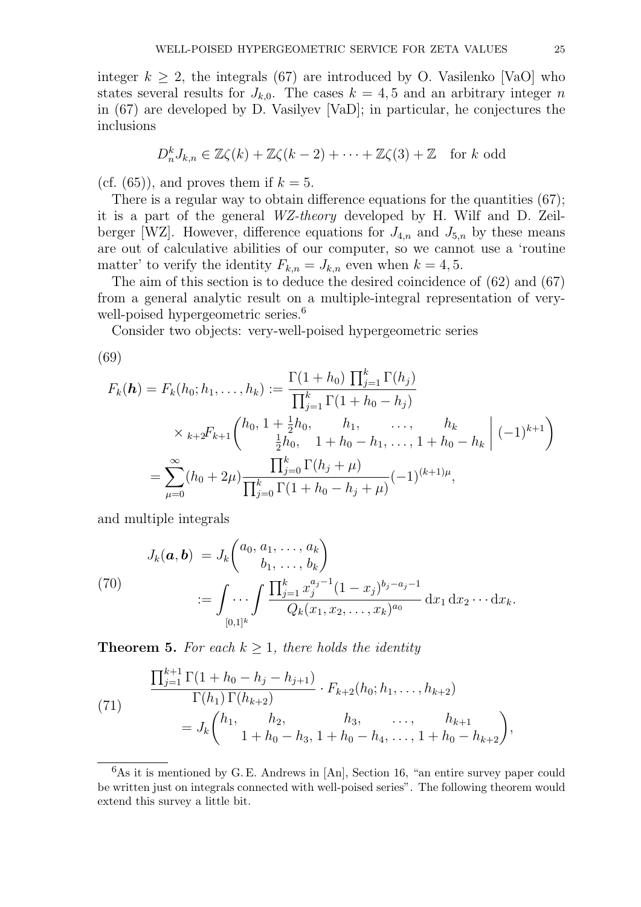integer  $k \geq 2$ , the integrals (67) are introduced by O. Vasilenko [VaO] who states several results for  $J_{k,0}$ . The cases  $k = 4, 5$  and an arbitrary integer n in (67) are developed by D. Vasilyev [VaD]; in particular, he conjectures the inclusions

$$
D_n^k J_{k,n} \in \mathbb{Z}\zeta(k) + \mathbb{Z}\zeta(k-2) + \cdots + \mathbb{Z}\zeta(3) + \mathbb{Z} \text{ for } k \text{ odd}
$$

(cf. (65)), and proves them if  $k = 5$ .

There is a regular way to obtain difference equations for the quantities (67); it is a part of the general WZ-theory developed by H. Wilf and D. Zeilberger [WZ]. However, difference equations for  $J_{4,n}$  and  $J_{5,n}$  by these means are out of calculative abilities of our computer, so we cannot use a 'routine matter' to verify the identity  $F_{k,n} = J_{k,n}$  even when  $k = 4, 5$ .

The aim of this section is to deduce the desired coincidence of (62) and (67) from a general analytic result on a multiple-integral representation of verywell-poised hypergeometric series.<sup>6</sup>

Consider two objects: very-well-poised hypergeometric series

(69)

$$
F_k(\boldsymbol{h}) = F_k(h_0; h_1, \dots, h_k) := \frac{\Gamma(1+h_0) \prod_{j=1}^k \Gamma(h_j)}{\prod_{j=1}^k \Gamma(1+h_0-h_j)}
$$
  
\$\times\_{k+2}F\_{k+1}\left(h\_0, 1 + \frac{1}{2}h\_0, \quad h\_1, \quad \dots, \quad h\_k\$  
= 
$$
\sum_{\mu=0}^{\infty} (h_0 + 2\mu) \frac{\prod_{j=0}^k \Gamma(h_j + \mu)}{\prod_{j=0}^k \Gamma(1+h_0-h_j + \mu)} (-1)^{(k+1)\mu},
$$

and multiple integrals

(70)  

$$
J_k(\boldsymbol{a}, \boldsymbol{b}) = J_k \begin{pmatrix} a_0, a_1, \dots, a_k \\ b_1, \dots, b_k \end{pmatrix}
$$

$$
:= \int \dots \int \frac{\prod_{j=1}^k x_j^{a_j - 1} (1 - x_j)^{b_j - a_j - 1}}{Q_k(x_1, x_2, \dots, x_k)^{a_0}} dx_1 dx_2 \cdots dx_k.
$$

**Theorem 5.** For each  $k \geq 1$ , there holds the identity

(71)  
\n
$$
\frac{\prod_{j=1}^{k+1} \Gamma(1 + h_0 - h_j - h_{j+1})}{\Gamma(h_1) \Gamma(h_{k+2})} \cdot F_{k+2}(h_0; h_1, \dots, h_{k+2})
$$
\n
$$
= J_k \binom{h_1, \quad h_2, \quad h_3, \quad \dots, \quad h_{k+1}}{1 + h_0 - h_3, 1 + h_0 - h_4, \dots, 1 + h_0 - h_{k+2}},
$$

 $6$ As it is mentioned by G. E. Andrews in [An], Section 16, "an entire survey paper could be written just on integrals connected with well-poised series". The following theorem would extend this survey a little bit.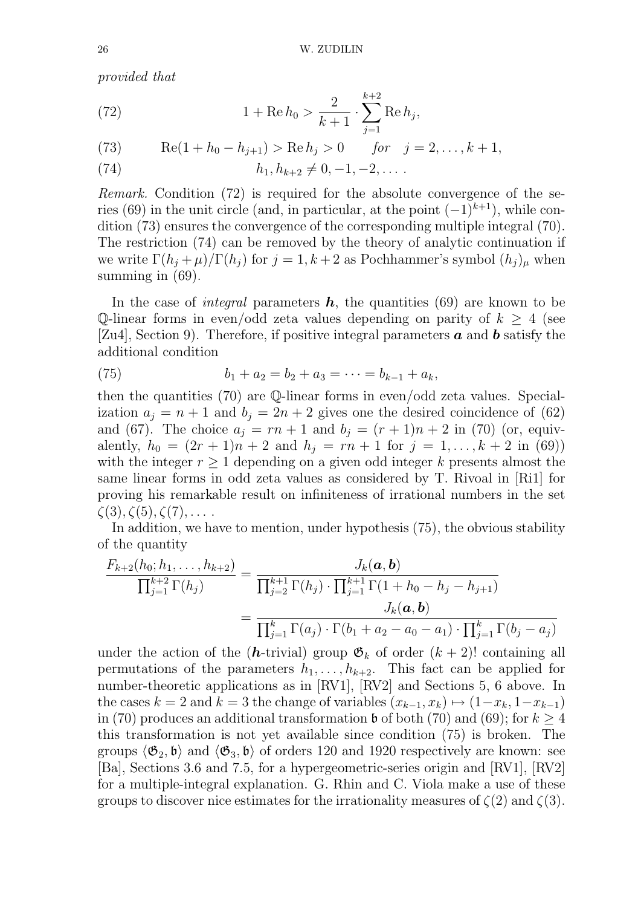provided that

(72) 
$$
1 + \text{Re } h_0 > \frac{2}{k+1} \cdot \sum_{j=1}^{k+2} \text{Re } h_j,
$$

(73) 
$$
\text{Re}(1 + h_0 - h_{j+1}) > \text{Re } h_j > 0 \quad \text{for} \quad j = 2, ..., k+1,
$$

(74) 
$$
h_1, h_{k+2} \neq 0, -1, -2, \ldots
$$

Remark. Condition (72) is required for the absolute convergence of the series (69) in the unit circle (and, in particular, at the point  $(-1)^{k+1}$ ), while condition (73) ensures the convergence of the corresponding multiple integral (70). The restriction (74) can be removed by the theory of analytic continuation if we write  $\Gamma(h_i + \mu)/\Gamma(h_i)$  for  $j = 1, k + 2$  as Pochhammer's symbol  $(h_i)_{\mu}$  when summing in  $(69)$ .

In the case of *integral* parameters  $h$ , the quantities (69) are known to be Q-linear forms in even/odd zeta values depending on parity of  $k \geq 4$  (see [Zu4], Section 9]. Therefore, if positive integral parameters  $\boldsymbol{a}$  and  $\boldsymbol{b}$  satisfy the additional condition

(75) 
$$
b_1 + a_2 = b_2 + a_3 = \cdots = b_{k-1} + a_k,
$$

then the quantities (70) are Q-linear forms in even/odd zeta values. Specialization  $a_j = n + 1$  and  $b_j = 2n + 2$  gives one the desired coincidence of (62) and (67). The choice  $a_j = rn + 1$  and  $b_j = (r + 1)n + 2$  in (70) (or, equivalently,  $h_0 = (2r + 1)n + 2$  and  $h_j = rn + 1$  for  $j = 1, ..., k + 2$  in (69)) with the integer  $r \geq 1$  depending on a given odd integer k presents almost the same linear forms in odd zeta values as considered by T. Rivoal in [Ri1] for proving his remarkable result on infiniteness of irrational numbers in the set  $\zeta(3), \zeta(5), \zeta(7), \ldots$ .

In addition, we have to mention, under hypothesis (75), the obvious stability of the quantity

$$
\frac{F_{k+2}(h_0; h_1, \ldots, h_{k+2})}{\prod_{j=1}^{k+2} \Gamma(h_j)} = \frac{J_k(\mathbf{a}, \mathbf{b})}{\prod_{j=2}^{k+1} \Gamma(h_j) \cdot \prod_{j=1}^{k+1} \Gamma(1 + h_0 - h_j - h_{j+1})}
$$
\n
$$
= \frac{J_k(\mathbf{a}, \mathbf{b})}{\prod_{j=1}^k \Gamma(a_j) \cdot \Gamma(b_1 + a_2 - a_0 - a_1) \cdot \prod_{j=1}^k \Gamma(b_j - a_j)}
$$

under the action of the (h-trivial) group  $\mathfrak{G}_k$  of order  $(k+2)!$  containing all permutations of the parameters  $h_1, \ldots, h_{k+2}$ . This fact can be applied for number-theoretic applications as in [RV1], [RV2] and Sections 5, 6 above. In the cases  $k = 2$  and  $k = 3$  the change of variables  $(x_{k-1}, x_k) \mapsto (1-x_k, 1-x_{k-1})$ in (70) produces an additional transformation  $\mathfrak b$  of both (70) and (69); for  $k \geq 4$ this transformation is not yet available since condition (75) is broken. The groups  $\langle \mathfrak{G}_2, \mathfrak{b} \rangle$  and  $\langle \mathfrak{G}_3, \mathfrak{b} \rangle$  of orders 120 and 1920 respectively are known: see [Ba], Sections 3.6 and 7.5, for a hypergeometric-series origin and [RV1], [RV2] for a multiple-integral explanation. G. Rhin and C. Viola make a use of these groups to discover nice estimates for the irrationality measures of  $\zeta(2)$  and  $\zeta(3)$ .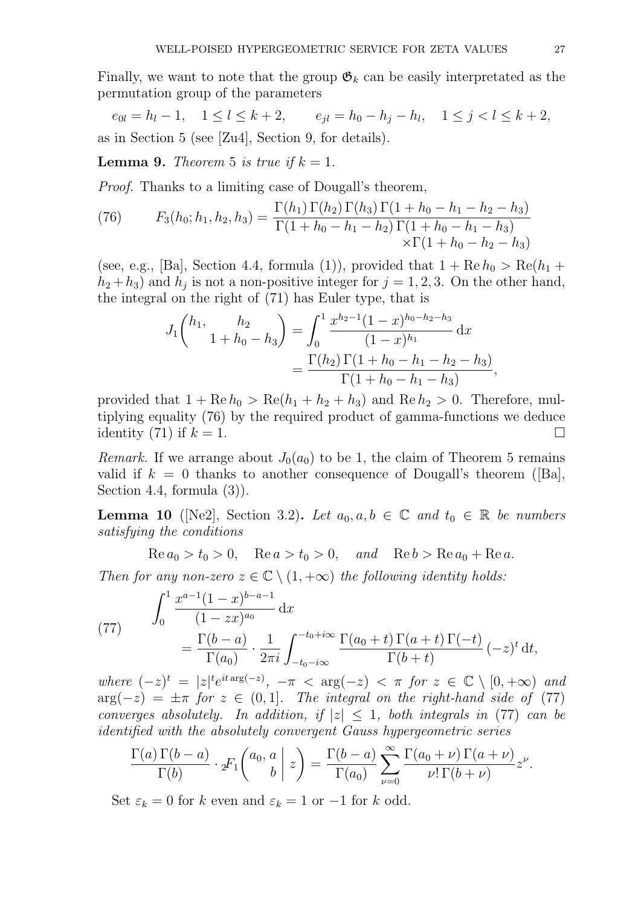Finally, we want to note that the group  $\mathfrak{G}_k$  can be easily interpretated as the permutation group of the parameters

 $e_{0l} = h_l - 1, \quad 1 \le l \le k+2, \qquad e_{jl} = h_0 - h_j - h_l, \quad 1 \le j < l \le k+2,$ as in Section 5 (see [Zu4], Section 9, for details).

**Lemma 9.** Theorem 5 is true if  $k = 1$ .

Proof. Thanks to a limiting case of Dougall's theorem,

(76) 
$$
F_3(h_0; h_1, h_2, h_3) = \frac{\Gamma(h_1) \Gamma(h_2) \Gamma(h_3) \Gamma(1 + h_0 - h_1 - h_2 - h_3)}{\Gamma(1 + h_0 - h_1 - h_2) \Gamma(1 + h_0 - h_1 - h_3)} \times \Gamma(1 + h_0 - h_2 - h_3)
$$

(see, e.g., [Ba], Section 4.4, formula (1)), provided that  $1 + \text{Re } h_0 > \text{Re}(h_1 +$  $(h_2 + h_3)$  and  $h_j$  is not a non-positive integer for  $j = 1, 2, 3$ . On the other hand, the integral on the right of (71) has Euler type, that is

$$
J_1 \binom{h_1, \quad h_2}{1 + h_0 - h_3} = \int_0^1 \frac{x^{h_2 - 1} (1 - x)^{h_0 - h_2 - h_3}}{(1 - x)^{h_1}} dx
$$
  
= 
$$
\frac{\Gamma(h_2) \Gamma(1 + h_0 - h_1 - h_2 - h_3)}{\Gamma(1 + h_0 - h_1 - h_3)},
$$

provided that  $1 + \text{Re } h_0 > \text{Re}(h_1 + h_2 + h_3)$  and  $\text{Re } h_2 > 0$ . Therefore, multiplying equality (76) by the required product of gamma-functions we deduce identity (71) if  $k = 1$ .

Remark. If we arrange about  $J_0(a_0)$  to be 1, the claim of Theorem 5 remains valid if  $k = 0$  thanks to another consequence of Dougall's theorem ([Ba], Section 4.4, formula (3)).

**Lemma 10** ([Ne2], Section 3.2). Let  $a_0, a, b \in \mathbb{C}$  and  $t_0 \in \mathbb{R}$  be numbers satisfying the conditions

 $\text{Re } a_0 > t_0 > 0$ ,  $\text{Re } a > t_0 > 0$ , and  $\text{Re } b > \text{Re } a_0 + \text{Re } a$ .

Then for any non-zero  $z \in \mathbb{C} \setminus (1, +\infty)$  the following identity holds:

(77) 
$$
\int_0^1 \frac{x^{a-1}(1-x)^{b-a-1}}{(1-zx)^{a_0}} dx = \frac{\Gamma(b-a)}{\Gamma(a_0)} \cdot \frac{1}{2\pi i} \int_{-t_0-i\infty}^{-t_0+i\infty} \frac{\Gamma(a_0+t)\Gamma(a+t)\Gamma(-t)}{\Gamma(b+t)} (-z)^t dt,
$$

where  $(-z)^t = |z|^t e^{it \arg(-z)}$ ,  $-\pi < \arg(-z) < \pi$  for  $z \in \mathbb{C} \setminus [0, +\infty)$  and  $arg(-z) = \pm \pi$  for  $z \in (0,1]$ . The integral on the right-hand side of (77) converges absolutely. In addition, if  $|z| \leq 1$ , both integrals in (77) can be identified with the absolutely convergent Gauss hypergeometric series

$$
\frac{\Gamma(a)\Gamma(b-a)}{\Gamma(b)} \cdot {}_2F_1\left(\begin{matrix}a_0, a \\ b\end{matrix}\bigg| z\right) = \frac{\Gamma(b-a)}{\Gamma(a_0)} \sum_{\nu=0}^{\infty} \frac{\Gamma(a_0+\nu)\Gamma(a+\nu)}{\nu!\Gamma(b+\nu)} z^{\nu}.
$$

Set  $\varepsilon_k = 0$  for k even and  $\varepsilon_k = 1$  or  $-1$  for k odd.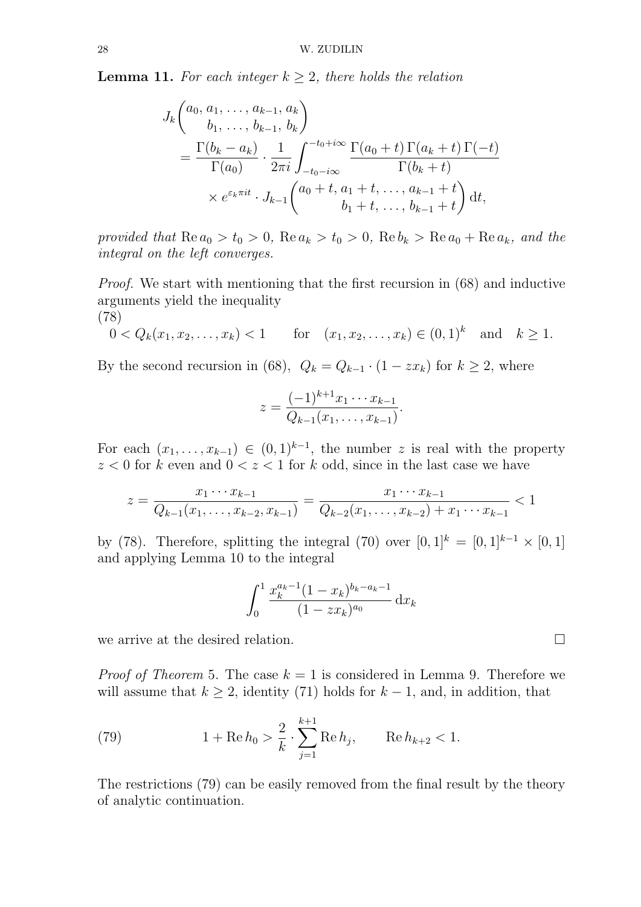**Lemma 11.** For each integer  $k \geq 2$ , there holds the relation

$$
J_k\begin{pmatrix} a_0, a_1, \dots, a_{k-1}, a_k \\ b_1, \dots, b_{k-1}, b_k \end{pmatrix}
$$
  
= 
$$
\frac{\Gamma(b_k - a_k)}{\Gamma(a_0)} \cdot \frac{1}{2\pi i} \int_{-t_0 - i\infty}^{-t_0 + i\infty} \frac{\Gamma(a_0 + t) \Gamma(a_k + t) \Gamma(-t)}{\Gamma(b_k + t)}
$$
  

$$
\times e^{\varepsilon_k \pi i t} \cdot J_{k-1}\begin{pmatrix} a_0 + t, a_1 + t, \dots, a_{k-1} + t \\ b_1 + t, \dots, b_{k-1} + t \end{pmatrix} dt,
$$

provided that  $\text{Re } a_0 > t_0 > 0$ ,  $\text{Re } a_k > t_0 > 0$ ,  $\text{Re } b_k > \text{Re } a_0 + \text{Re } a_k$ , and the integral on the left converges.

Proof. We start with mentioning that the first recursion in (68) and inductive arguments yield the inequality (78)

$$
0 < Q_k(x_1, x_2,..., x_k) < 1
$$
 for  $(x_1, x_2,..., x_k) \in (0,1)^k$  and  $k \ge 1$ .

By the second recursion in (68),  $Q_k = Q_{k-1} \cdot (1 - zx_k)$  for  $k \ge 2$ , where

$$
z = \frac{(-1)^{k+1}x_1 \cdots x_{k-1}}{Q_{k-1}(x_1, \ldots, x_{k-1})}.
$$

For each  $(x_1, \ldots, x_{k-1}) \in (0,1)^{k-1}$ , the number z is real with the property  $z < 0$  for k even and  $0 < z < 1$  for k odd, since in the last case we have

$$
z = \frac{x_1 \cdots x_{k-1}}{Q_{k-1}(x_1, \ldots, x_{k-2}, x_{k-1})} = \frac{x_1 \cdots x_{k-1}}{Q_{k-2}(x_1, \ldots, x_{k-2}) + x_1 \cdots x_{k-1}} < 1
$$

by (78). Therefore, splitting the integral (70) over  $[0,1]^k = [0,1]^{k-1} \times [0,1]$ and applying Lemma 10 to the integral

$$
\int_0^1 \frac{x_k^{a_k-1} (1-x_k)^{b_k-a_k-1}}{(1-zx_k)^{a_0}} \,\mathrm{d}x_k
$$

we arrive at the desired relation.  $\square$ 

*Proof of Theorem* 5. The case  $k = 1$  is considered in Lemma 9. Therefore we will assume that  $k \geq 2$ , identity (71) holds for  $k-1$ , and, in addition, that

(79) 
$$
1 + \text{Re } h_0 > \frac{2}{k} \cdot \sum_{j=1}^{k+1} \text{Re } h_j, \qquad \text{Re } h_{k+2} < 1.
$$

The restrictions (79) can be easily removed from the final result by the theory of analytic continuation.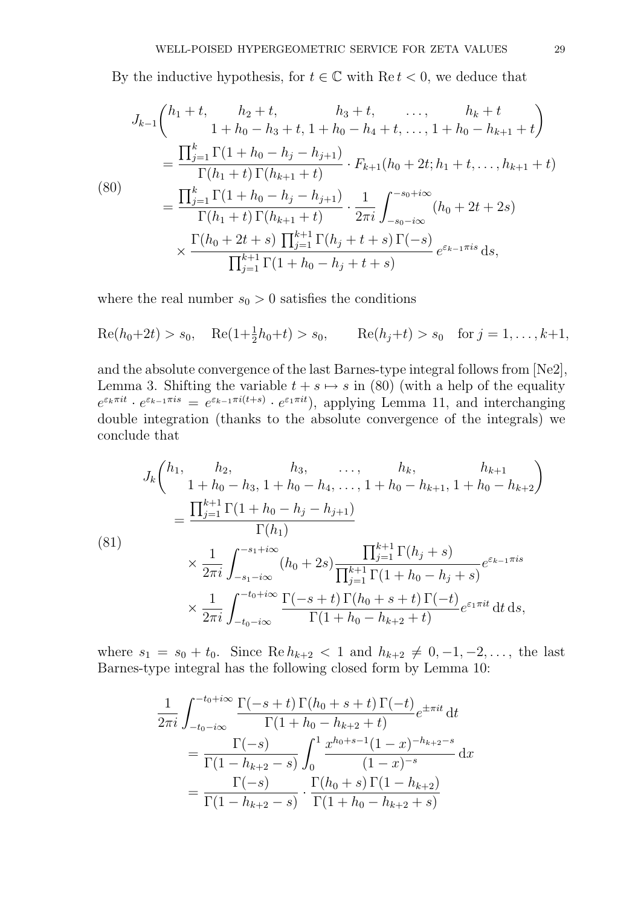By the inductive hypothesis, for  $t \in \mathbb{C}$  with  $\text{Re } t < 0$ , we deduce that

$$
J_{k-1}\begin{pmatrix} h_1+t, & h_2+t, & h_3+t, & \dots, & h_k+t \\ 1+h_0-h_3+t, & 1+h_0-h_4+t, & \dots, & 1+h_0-h_{k+1}+t \end{pmatrix}
$$
  
= 
$$
\frac{\prod_{j=1}^k \Gamma(1+h_0-h_j-h_{j+1})}{\Gamma(h_1+t)\Gamma(h_{k+1}+t)} \cdot F_{k+1}(h_0+2t; h_1+t, \dots, h_{k+1}+t)
$$
  
(80)  
= 
$$
\frac{\prod_{j=1}^k \Gamma(1+h_0-h_j-h_{j+1})}{\Gamma(h_1+t)\Gamma(h_{k+1}+t)} \cdot \frac{1}{2\pi i} \int_{-s_0-i\infty}^{-s_0+i\infty} (h_0+2t+2s)
$$
  

$$
\times \frac{\Gamma(h_0+2t+s)\prod_{j=1}^{k+1}\Gamma(h_j+t+s)\Gamma(-s)}{\prod_{j=1}^{k+1}\Gamma(1+h_0-h_j+t+s)} e^{\varepsilon_{k-1}\pi is} ds,
$$

where the real number  $s_0 > 0$  satisfies the conditions

 $\text{Re}(h_0+2t) > s_0$ ,  $\text{Re}(1+\frac{1}{2}h_0+t) > s_0$ ,  $\text{Re}(h_j+t) > s_0$  for  $j = 1, ..., k+1$ ,

and the absolute convergence of the last Barnes-type integral follows from [Ne2], Lemma 3. Shifting the variable  $t + s \mapsto s$  in (80) (with a help of the equality  $e^{\varepsilon_k \pi i t} \cdot e^{\varepsilon_{k-1} \pi i s} = e^{\varepsilon_{k-1} \pi i (t+s)} \cdot e^{\varepsilon_1 \pi i t}$ , applying Lemma 11, and interchanging double integration (thanks to the absolute convergence of the integrals) we conclude that

$$
J_k \binom{h_1, h_2, h_3, \dots, h_k, h_{k+1}}{1 + h_0 - h_3, 1 + h_0 - h_4, \dots, 1 + h_0 - h_{k+1}, 1 + h_0 - h_{k+2}}
$$
  
= 
$$
\frac{\prod_{j=1}^{k+1} \Gamma(1 + h_0 - h_j - h_{j+1})}{\Gamma(h_1)}
$$
  

$$
\times \frac{1}{2\pi i} \int_{-s_1 - i\infty}^{-s_1 + i\infty} (h_0 + 2s) \frac{\prod_{j=1}^{k+1} \Gamma(h_j + s)}{\prod_{j=1}^{k+1} \Gamma(1 + h_0 - h_j + s)} e^{\varepsilon_{k-1}\pi i s}
$$
  

$$
\times \frac{1}{2\pi i} \int_{-t_0 - i\infty}^{-t_0 + i\infty} \frac{\Gamma(-s + t) \Gamma(h_0 + s + t) \Gamma(-t)}{\Gamma(1 + h_0 - h_{k+2} + t)} e^{\varepsilon_1 \pi i t} dt ds,
$$

where  $s_1 = s_0 + t_0$ . Since  $\text{Re } h_{k+2} < 1$  and  $h_{k+2} \neq 0, -1, -2, \ldots$ , the last Barnes-type integral has the following closed form by Lemma 10:

$$
\frac{1}{2\pi i} \int_{-t_0 - i\infty}^{-t_0 + i\infty} \frac{\Gamma(-s+t) \Gamma(h_0 + s+t) \Gamma(-t)}{\Gamma(1+h_0 - h_{k+2} + t)} e^{\pm \pi i t} dt
$$
\n
$$
= \frac{\Gamma(-s)}{\Gamma(1-h_{k+2} - s)} \int_0^1 \frac{x^{h_0 + s - 1} (1-x)^{-h_{k+2} - s}}{(1-x)^{-s}} dx
$$
\n
$$
= \frac{\Gamma(-s)}{\Gamma(1-h_{k+2} - s)} \cdot \frac{\Gamma(h_0 + s) \Gamma(1-h_{k+2})}{\Gamma(1+h_0 - h_{k+2} + s)}
$$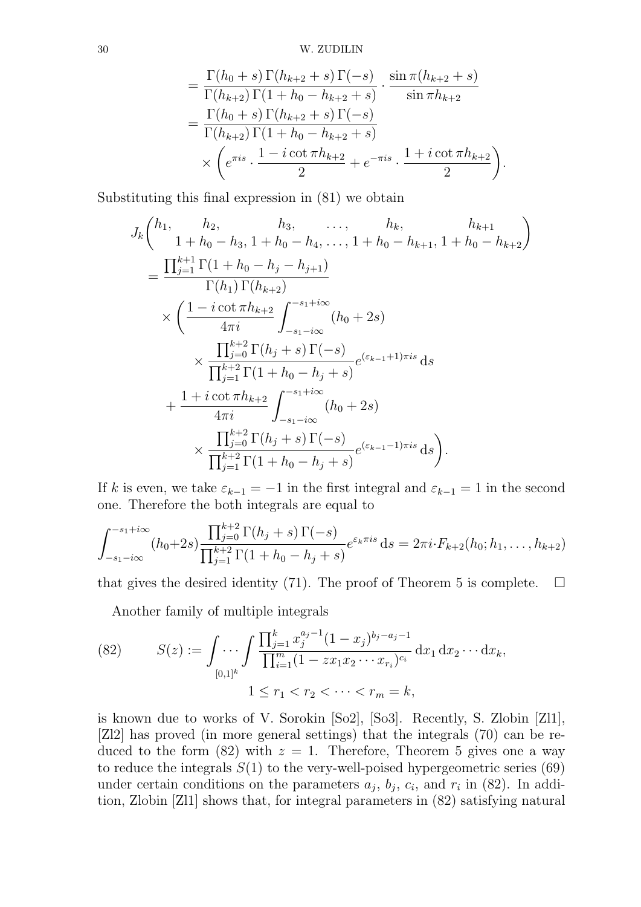$$
= \frac{\Gamma(h_0+s)\Gamma(h_{k+2}+s)\Gamma(-s)}{\Gamma(h_{k+2})\Gamma(1+h_0-h_{k+2}+s)} \cdot \frac{\sin \pi(h_{k+2}+s)}{\sin \pi h_{k+2}} \n= \frac{\Gamma(h_0+s)\Gamma(h_{k+2}+s)\Gamma(-s)}{\Gamma(h_{k+2})\Gamma(1+h_0-h_{k+2}+s)} \n\times \left(e^{\pi is} \cdot \frac{1-i\cot \pi h_{k+2}}{2} + e^{-\pi is} \cdot \frac{1+i\cot \pi h_{k+2}}{2}\right).
$$

Substituting this final expression in (81) we obtain

$$
J_{k}\begin{pmatrix} h_{1}, & h_{2}, & h_{3}, & \dots, & h_{k}, & h_{k+1} \\ 1 + h_{0} - h_{3}, 1 + h_{0} - h_{4}, & \dots, 1 + h_{0} - h_{k+1}, 1 + h_{0} - h_{k+2} \end{pmatrix}
$$
  
= 
$$
\frac{\prod_{j=1}^{k+1} \Gamma(1 + h_{0} - h_{j} - h_{j+1})}{\Gamma(h_{1}) \Gamma(h_{k+2})}
$$
  

$$
\times \left( \frac{1 - i \cot \pi h_{k+2}}{4\pi i} \int_{-s_{1} - i\infty}^{-s_{1} + i\infty} (h_{0} + 2s) \right)
$$
  

$$
\times \frac{\prod_{j=0}^{k+2} \Gamma(h_{j} + s) \Gamma(-s)}{\prod_{j=1}^{k+2} \Gamma(1 + h_{0} - h_{j} + s)} e^{(\varepsilon_{k-1} + 1)\pi is} ds
$$
  
+ 
$$
\frac{1 + i \cot \pi h_{k+2}}{4\pi i} \int_{-s_{1} - i\infty}^{-s_{1} + i\infty} (h_{0} + 2s)
$$
  

$$
\times \frac{\prod_{j=0}^{k+2} \Gamma(h_{j} + s) \Gamma(-s)}{\prod_{j=1}^{k+2} \Gamma(1 + h_{0} - h_{j} + s)} e^{(\varepsilon_{k-1} - 1)\pi is} ds \bigg).
$$

If k is even, we take  $\varepsilon_{k-1} = -1$  in the first integral and  $\varepsilon_{k-1} = 1$  in the second one. Therefore the both integrals are equal to

$$
\int_{-s_1 - i\infty}^{-s_1 + i\infty} (h_0 + 2s) \frac{\prod_{j=0}^{k+2} \Gamma(h_j + s) \Gamma(-s)}{\prod_{j=1}^{k+2} \Gamma(1 + h_0 - h_j + s)} e^{\varepsilon_k \pi i s} ds = 2\pi i \cdot F_{k+2}(h_0; h_1, \dots, h_{k+2})
$$

that gives the desired identity (71). The proof of Theorem 5 is complete.  $\Box$ 

Another family of multiple integrals

(82) 
$$
S(z) := \int \cdots \int \frac{\prod_{j=1}^{k} x_j^{a_j - 1} (1 - x_j)^{b_j - a_j - 1}}{\prod_{i=1}^{m} (1 - z x_1 x_2 \cdots x_{r_i})^{c_i}} dx_1 dx_2 \cdots dx_k,
$$

$$
1 \le r_1 < r_2 < \cdots < r_m = k,
$$

is known due to works of V. Sorokin [So2], [So3]. Recently, S. Zlobin [Zl1], [Zl2] has proved (in more general settings) that the integrals (70) can be reduced to the form (82) with  $z = 1$ . Therefore, Theorem 5 gives one a way to reduce the integrals  $S(1)$  to the very-well-poised hypergeometric series (69) under certain conditions on the parameters  $a_j$ ,  $b_j$ ,  $c_i$ , and  $r_i$  in (82). In addition, Zlobin [Zl1] shows that, for integral parameters in (82) satisfying natural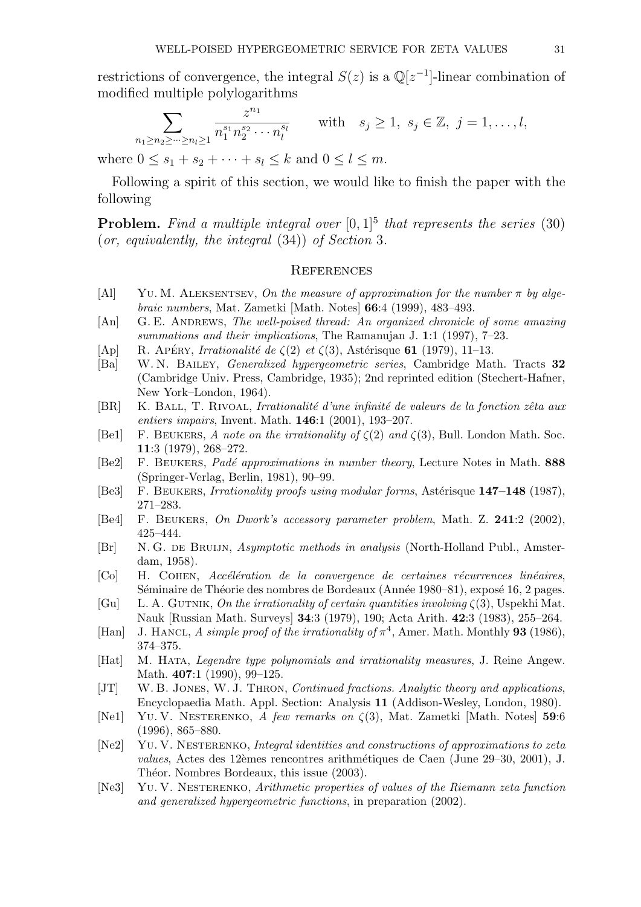restrictions of convergence, the integral  $S(z)$  is a  $\mathbb{Q}[z^{-1}]$ -linear combination of modified multiple polylogarithms

$$
\sum_{n_1 \ge n_2 \ge \dots \ge n_l \ge 1} \frac{z^{n_1}}{n_1^{s_1} n_2^{s_2} \cdots n_l^{s_l}} \quad \text{with} \quad s_j \ge 1, \ s_j \in \mathbb{Z}, \ j = 1, \dots, l,
$$

where  $0 \le s_1 + s_2 + \cdots + s_l \le k$  and  $0 \le l \le m$ .

Following a spirit of this section, we would like to finish the paper with the following

**Problem.** Find a multiple integral over  $[0,1]^5$  that represents the series (30) (or, equivalently, the integral (34)) of Section 3.

#### **REFERENCES**

- [Al] YU. M. ALEKSENTSEV, On the measure of approximation for the number  $\pi$  by algebraic numbers, Mat. Zametki [Math. Notes] 66:4 (1999), 483–493.
- [An] G. E. ANDREWS, The well-poised thread: An organized chronicle of some amazing summations and their implications, The Ramanujan J. 1:1 (1997), 7–23.
- [Ap] R. Apéry, Irrationalité de  $\zeta(2)$  et  $\zeta(3)$ , Astérisque 61 (1979), 11–13.
- [Ba] W. N. BAILEY, *Generalized hypergeometric series*, Cambridge Math. Tracts 32 (Cambridge Univ. Press, Cambridge, 1935); 2nd reprinted edition (Stechert-Hafner, New York–London, 1964).
- [BR] K. BALL, T. RIVOAL, Irrationalité d'une infinité de valeurs de la fonction zêta aux entiers impairs, Invent. Math. 146:1 (2001), 193–207.
- [Be1] F. BEUKERS, A note on the irrationality of  $\zeta(2)$  and  $\zeta(3)$ , Bull. London Math. Soc. 11:3 (1979), 268–272.
- [Be2] F. BEUKERS, Padé approximations in number theory, Lecture Notes in Math. 888 (Springer-Verlag, Berlin, 1981), 90–99.
- [Be3] F. BEUKERS, Irrationality proofs using modular forms, Astérisque 147–148 (1987), 271–283.
- [Be4] F. Beukers, On Dwork's accessory parameter problem, Math. Z. 241:2 (2002), 425–444.
- [Br] N. G. de Bruijn, Asymptotic methods in analysis (North-Holland Publ., Amsterdam, 1958).
- $[C<sub>O</sub>]$  H. COHEN, Accélération de la convergence de certaines récurrences linéaires, Séminaire de Théorie des nombres de Bordeaux (Année 1980–81), exposé 16, 2 pages.
- [Gu] L. A. GUTNIK, On the irrationality of certain quantities involving  $\zeta(3)$ , Uspekhi Mat. Nauk [Russian Math. Surveys] 34:3 (1979), 190; Acta Arith. 42:3 (1983), 255–264.
- [Han] J. HANCL, A simple proof of the irrationality of  $\pi^4$ , Amer. Math. Monthly 93 (1986), 374–375.
- [Hat] M. Hata, Legendre type polynomials and irrationality measures, J. Reine Angew. Math. **407**:1 (1990), 99-125.
- [JT] W. B. JONES, W. J. THRON, *Continued fractions. Analytic theory and applications*, Encyclopaedia Math. Appl. Section: Analysis 11 (Addison-Wesley, London, 1980).
- [Ne1] YU. V. NESTERENKO, A few remarks on  $\zeta(3)$ , Mat. Zametki [Math. Notes] 59:6 (1996), 865–880.
- [Ne2] Yu. V. Nesterenko, Integral identities and constructions of approximations to zeta values, Actes des 12èmes rencontres arithmétiques de Caen (June 29–30, 2001), J. Théor. Nombres Bordeaux, this issue (2003).
- [Ne3] Yu. V. Nesterenko, Arithmetic properties of values of the Riemann zeta function and generalized hypergeometric functions, in preparation (2002).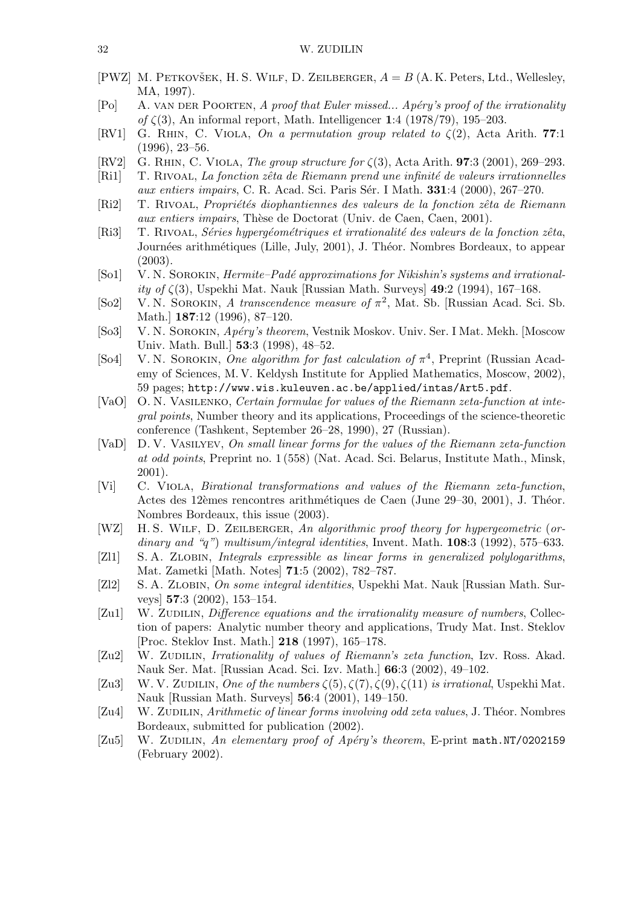- [PWZ] M. PETKOVŠEK, H. S. WILF, D. ZEILBERGER,  $A = B(A, K)$ . Peters, Ltd., Wellesley, MA, 1997).
- [Po] A. VAN DER POORTEN, A proof that Euler missed... Apéry's proof of the irrationality of  $\zeta(3)$ , An informal report, Math. Intelligencer 1:4 (1978/79), 195–203.
- [RV1] G. RHIN, C. VIOLA, On a permutation group related to  $\zeta(2)$ , Acta Arith. 77:1 (1996), 23–56.
- [RV2] G. RHIN, C. VIOLA, The group structure for  $\zeta(3)$ , Acta Arith. **97**:3 (2001), 269–293.
- [Ri1] T. RIVOAL, La fonction zêta de Riemann prend une infinité de valeurs irrationnelles aux entiers impairs, C. R. Acad. Sci. Paris Sér. I Math.  $331:4$  (2000), 267–270.
- [Ri2] T. RIVOAL, Propriétés diophantiennes des valeurs de la fonction zêta de Riemann aux entiers impairs, Thèse de Doctorat (Univ. de Caen, Caen, 2001).
- [Ri3] T. RIVOAL, Séries hypergéométriques et irrationalité des valeurs de la fonction zêta, Journées arithmétiques (Lille, July, 2001), J. Théor. Nombres Bordeaux, to appear (2003).
- [So1] V. N. SOROKIN, *Hermite–Padé approximations for Nikishin's systems and irrational*ity of  $\zeta(3)$ , Uspekhi Mat. Nauk [Russian Math. Surveys] 49:2 (1994), 167–168.
- [So2] V. N. SOROKIN, A transcendence measure of  $\pi^2$ , Mat. Sb. [Russian Acad. Sci. Sb. Math.] 187:12 (1996), 87–120.
- [So3] V. N. SOROKIN, Apéry's theorem, Vestnik Moskov. Univ. Ser. I Mat. Mekh. [Moscow Univ. Math. Bull.] 53:3 (1998), 48–52.
- [So4] V. N. SOROKIN, One algorithm for fast calculation of  $\pi^4$ , Preprint (Russian Academy of Sciences, M. V. Keldysh Institute for Applied Mathematics, Moscow, 2002), 59 pages; http://www.wis.kuleuven.ac.be/applied/intas/Art5.pdf.
- [VaO] O. N. Vasilenko, Certain formulae for values of the Riemann zeta-function at integral points, Number theory and its applications, Proceedings of the science-theoretic conference (Tashkent, September 26–28, 1990), 27 (Russian).
- [VaD] D. V. Vasilyev, On small linear forms for the values of the Riemann zeta-function at odd points, Preprint no. 1 (558) (Nat. Acad. Sci. Belarus, Institute Math., Minsk, 2001).
- [Vi] C. Viola, Birational transformations and values of the Riemann zeta-function, Actes des 12èmes rencontres arithmétiques de Caen (June 29–30, 2001), J. Théor. Nombres Bordeaux, this issue (2003).
- [WZ] H.S. WILF, D. ZEILBERGER, An algorithmic proof theory for hypergeometric (ordinary and "q") multisum/integral identities, Invent. Math.  $108:3$  (1992), 575–633.
- [Zl1] S. A. ZLOBIN, Integrals expressible as linear forms in generalized polylogarithms, Mat. Zametki [Math. Notes] 71:5 (2002), 782–787.
- [Zl2] S. A. Zlobin, On some integral identities, Uspekhi Mat. Nauk [Russian Math. Surveys] 57:3 (2002), 153–154.
- [Zu1] W. ZUDILIN, Difference equations and the irrationality measure of numbers, Collection of papers: Analytic number theory and applications, Trudy Mat. Inst. Steklov [Proc. Steklov Inst. Math.] 218 (1997), 165–178.
- [Zu2] W. ZUDILIN, Irrationality of values of Riemann's zeta function, Izv. Ross. Akad. Nauk Ser. Mat. [Russian Acad. Sci. Izv. Math.] 66:3 (2002), 49–102.
- [Zu3] W. V. ZUDILIN, One of the numbers  $\zeta(5), \zeta(7), \zeta(9), \zeta(11)$  is irrational, Uspekhi Mat. Nauk [Russian Math. Surveys] 56:4 (2001), 149–150.
- [Zu4] W. ZUDILIN, Arithmetic of linear forms involving odd zeta values, J. Théor. Nombres Bordeaux, submitted for publication (2002).
- [Zu5] W. ZUDILIN, An elementary proof of Apéry's theorem, E-print math.NT/0202159 (February 2002).